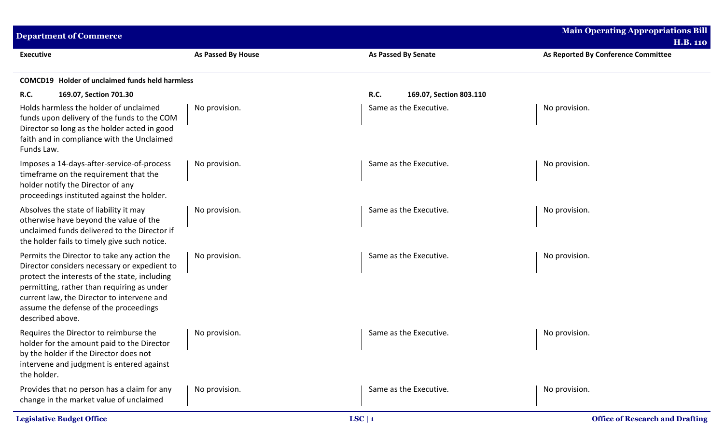| <b>Department of Commerce</b>                                                                                                                                                                                                                                                                         |                    |                                        | <b>Main Operating Appropriations Bill</b><br><b>H.B. 110</b> |
|-------------------------------------------------------------------------------------------------------------------------------------------------------------------------------------------------------------------------------------------------------------------------------------------------------|--------------------|----------------------------------------|--------------------------------------------------------------|
| <b>Executive</b>                                                                                                                                                                                                                                                                                      | As Passed By House | <b>As Passed By Senate</b>             | As Reported By Conference Committee                          |
| <b>COMCD19</b> Holder of unclaimed funds held harmless                                                                                                                                                                                                                                                |                    |                                        |                                                              |
| R.C.<br>169.07, Section 701.30                                                                                                                                                                                                                                                                        |                    | <b>R.C.</b><br>169.07, Section 803.110 |                                                              |
| Holds harmless the holder of unclaimed<br>funds upon delivery of the funds to the COM<br>Director so long as the holder acted in good<br>faith and in compliance with the Unclaimed<br>Funds Law.                                                                                                     | No provision.      | Same as the Executive.                 | No provision.                                                |
| Imposes a 14-days-after-service-of-process<br>timeframe on the requirement that the<br>holder notify the Director of any<br>proceedings instituted against the holder.                                                                                                                                | No provision.      | Same as the Executive.                 | No provision.                                                |
| Absolves the state of liability it may<br>otherwise have beyond the value of the<br>unclaimed funds delivered to the Director if<br>the holder fails to timely give such notice.                                                                                                                      | No provision.      | Same as the Executive.                 | No provision.                                                |
| Permits the Director to take any action the<br>Director considers necessary or expedient to<br>protect the interests of the state, including<br>permitting, rather than requiring as under<br>current law, the Director to intervene and<br>assume the defense of the proceedings<br>described above. | No provision.      | Same as the Executive.                 | No provision.                                                |
| Requires the Director to reimburse the<br>holder for the amount paid to the Director<br>by the holder if the Director does not<br>intervene and judgment is entered against<br>the holder.                                                                                                            | No provision.      | Same as the Executive.                 | No provision.                                                |
| Provides that no person has a claim for any<br>change in the market value of unclaimed                                                                                                                                                                                                                | No provision.      | Same as the Executive.                 | No provision.                                                |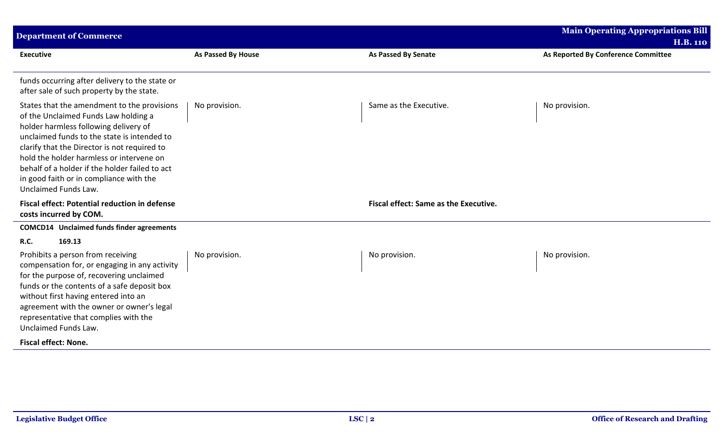| <b>Department of Commerce</b>                                                                                                                                                                                                                                                                                                                                                                |                           |                                       | <b>Main Operating Appropriations Bill</b><br><b>H.B. 110</b> |
|----------------------------------------------------------------------------------------------------------------------------------------------------------------------------------------------------------------------------------------------------------------------------------------------------------------------------------------------------------------------------------------------|---------------------------|---------------------------------------|--------------------------------------------------------------|
| <b>Executive</b>                                                                                                                                                                                                                                                                                                                                                                             | <b>As Passed By House</b> | <b>As Passed By Senate</b>            | As Reported By Conference Committee                          |
| funds occurring after delivery to the state or<br>after sale of such property by the state.                                                                                                                                                                                                                                                                                                  |                           |                                       |                                                              |
| States that the amendment to the provisions<br>of the Unclaimed Funds Law holding a<br>holder harmless following delivery of<br>unclaimed funds to the state is intended to<br>clarify that the Director is not required to<br>hold the holder harmless or intervene on<br>behalf of a holder if the holder failed to act<br>in good faith or in compliance with the<br>Unclaimed Funds Law. | No provision.             | Same as the Executive.                | No provision.                                                |
| <b>Fiscal effect: Potential reduction in defense</b><br>costs incurred by COM.                                                                                                                                                                                                                                                                                                               |                           | Fiscal effect: Same as the Executive. |                                                              |
| <b>COMCD14</b> Unclaimed funds finder agreements                                                                                                                                                                                                                                                                                                                                             |                           |                                       |                                                              |
| 169.13<br><b>R.C.</b><br>Prohibits a person from receiving<br>compensation for, or engaging in any activity<br>for the purpose of, recovering unclaimed<br>funds or the contents of a safe deposit box<br>without first having entered into an<br>agreement with the owner or owner's legal<br>representative that complies with the<br>Unclaimed Funds Law.                                 | No provision.             | No provision.                         | No provision.                                                |
| <b>Fiscal effect: None.</b>                                                                                                                                                                                                                                                                                                                                                                  |                           |                                       |                                                              |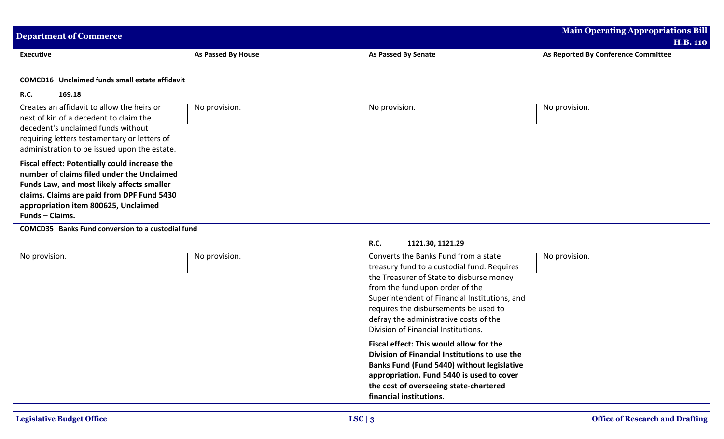| Department of Commerce                                                                                                                                                                                                                                    |                    |                     | <b>Main Operating Appropriations Bill</b><br><b>H.B. 110</b> |
|-----------------------------------------------------------------------------------------------------------------------------------------------------------------------------------------------------------------------------------------------------------|--------------------|---------------------|--------------------------------------------------------------|
| <b>Executive</b>                                                                                                                                                                                                                                          | As Passed By House | As Passed By Senate | As Reported By Conference Committee                          |
| Unclaimed funds small estate affidavit<br>COMCD16                                                                                                                                                                                                         |                    |                     |                                                              |
| <b>R.C.</b><br>169.18                                                                                                                                                                                                                                     |                    |                     |                                                              |
| Creates an affidavit to allow the heirs or<br>next of kin of a decedent to claim the<br>decedent's unclaimed funds without<br>requiring letters testamentary or letters of<br>administration to be issued upon the estate.                                | No provision.      | No provision.       | No provision.                                                |
| Fiscal effect: Potentially could increase the<br>number of claims filed under the Unclaimed<br>Funds Law, and most likely affects smaller<br>claims. Claims are paid from DPF Fund 5430<br>appropriation item 800625, Unclaimed<br><b>Funds - Claims.</b> |                    |                     |                                                              |

**COMCD35 Banks Fund conversion to a custodial fund**

## **R.C. 1121.30, 1121.29**

No provision. No provision. And the Moscouries of the Banks Fund from a state in the Banks Fund from a state treasury fund to a custodial fund. Requires the Treasurer of State to disburse money from the fund upon order of the Superintendent of Financial Institutions, and requires the disbursements be used to defray the administrative costs of the Division of Financial Institutions.

> **Fiscal effect: This would allow for the Division of Financial Institutions to use the Banks Fund (Fund 5440) without legislative appropriation. Fund 5440 is used to cover the cost of overseeing state-chartered financial institutions.**

No provision.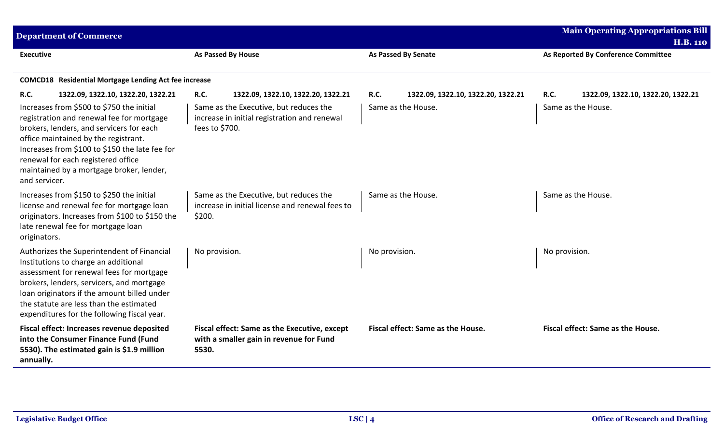| <b>Department of Commerce</b>                                                                                                                                                                                                                                                                                                                                                        |                                                                                                                                                               |                                                                         | <b>Main Operating Appropriations Bill</b><br><b>H.B. 110</b>     |
|--------------------------------------------------------------------------------------------------------------------------------------------------------------------------------------------------------------------------------------------------------------------------------------------------------------------------------------------------------------------------------------|---------------------------------------------------------------------------------------------------------------------------------------------------------------|-------------------------------------------------------------------------|------------------------------------------------------------------|
| <b>Executive</b>                                                                                                                                                                                                                                                                                                                                                                     | As Passed By House                                                                                                                                            | <b>As Passed By Senate</b>                                              | As Reported By Conference Committee                              |
| <b>COMCD18</b> Residential Mortgage Lending Act fee increase                                                                                                                                                                                                                                                                                                                         |                                                                                                                                                               |                                                                         |                                                                  |
| <b>R.C.</b><br>1322.09, 1322.10, 1322.20, 1322.21<br>Increases from \$500 to \$750 the initial<br>registration and renewal fee for mortgage<br>brokers, lenders, and servicers for each<br>office maintained by the registrant.<br>Increases from \$100 to \$150 the late fee for<br>renewal for each registered office<br>maintained by a mortgage broker, lender,<br>and servicer. | <b>R.C.</b><br>1322.09, 1322.10, 1322.20, 1322.21<br>Same as the Executive, but reduces the<br>increase in initial registration and renewal<br>fees to \$700. | <b>R.C.</b><br>1322.09, 1322.10, 1322.20, 1322.21<br>Same as the House. | R.C.<br>1322.09, 1322.10, 1322.20, 1322.21<br>Same as the House. |
| Increases from \$150 to \$250 the initial<br>license and renewal fee for mortgage loan<br>originators. Increases from \$100 to \$150 the<br>late renewal fee for mortgage loan<br>originators.                                                                                                                                                                                       | Same as the Executive, but reduces the<br>increase in initial license and renewal fees to<br>\$200.                                                           | Same as the House.                                                      | Same as the House.                                               |
| Authorizes the Superintendent of Financial<br>Institutions to charge an additional<br>assessment for renewal fees for mortgage<br>brokers, lenders, servicers, and mortgage<br>loan originators if the amount billed under<br>the statute are less than the estimated<br>expenditures for the following fiscal year.                                                                 | No provision.                                                                                                                                                 | No provision.                                                           | No provision.                                                    |
| Fiscal effect: Increases revenue deposited<br>into the Consumer Finance Fund (Fund<br>5530). The estimated gain is \$1.9 million<br>annually.                                                                                                                                                                                                                                        | Fiscal effect: Same as the Executive, except<br>with a smaller gain in revenue for Fund<br>5530.                                                              | Fiscal effect: Same as the House.                                       | Fiscal effect: Same as the House.                                |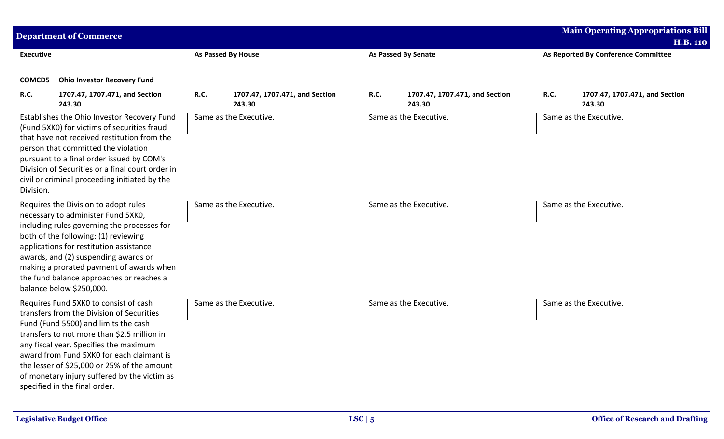|                  | <b>Department of Commerce</b>                                                                                                                                                                                                                                                                                                                                                                    |                           |                                          |             |                                          |      | <b>Main Operating Appropriations Bill</b>              |
|------------------|--------------------------------------------------------------------------------------------------------------------------------------------------------------------------------------------------------------------------------------------------------------------------------------------------------------------------------------------------------------------------------------------------|---------------------------|------------------------------------------|-------------|------------------------------------------|------|--------------------------------------------------------|
| <b>Executive</b> |                                                                                                                                                                                                                                                                                                                                                                                                  | <b>As Passed By House</b> |                                          |             | <b>As Passed By Senate</b>               |      | <b>H.B. 110</b><br>As Reported By Conference Committee |
|                  |                                                                                                                                                                                                                                                                                                                                                                                                  |                           |                                          |             |                                          |      |                                                        |
| <b>COMCD5</b>    | <b>Ohio Investor Recovery Fund</b>                                                                                                                                                                                                                                                                                                                                                               |                           |                                          |             |                                          |      |                                                        |
| R.C.             | 1707.47, 1707.471, and Section<br>243.30                                                                                                                                                                                                                                                                                                                                                         | R.C.                      | 1707.47, 1707.471, and Section<br>243.30 | <b>R.C.</b> | 1707.47, 1707.471, and Section<br>243.30 | R.C. | 1707.47, 1707.471, and Section<br>243.30               |
| Division.        | Establishes the Ohio Investor Recovery Fund<br>(Fund 5XK0) for victims of securities fraud<br>that have not received restitution from the<br>person that committed the violation<br>pursuant to a final order issued by COM's<br>Division of Securities or a final court order in<br>civil or criminal proceeding initiated by the                                                               |                           | Same as the Executive.                   |             | Same as the Executive.                   |      | Same as the Executive.                                 |
|                  | Requires the Division to adopt rules<br>necessary to administer Fund 5XK0,<br>including rules governing the processes for<br>both of the following: (1) reviewing<br>applications for restitution assistance<br>awards, and (2) suspending awards or<br>making a prorated payment of awards when<br>the fund balance approaches or reaches a<br>balance below \$250,000.                         |                           | Same as the Executive.                   |             | Same as the Executive.                   |      | Same as the Executive.                                 |
|                  | Requires Fund 5XK0 to consist of cash<br>transfers from the Division of Securities<br>Fund (Fund 5500) and limits the cash<br>transfers to not more than \$2.5 million in<br>any fiscal year. Specifies the maximum<br>award from Fund 5XK0 for each claimant is<br>the lesser of \$25,000 or 25% of the amount<br>of monetary injury suffered by the victim as<br>specified in the final order. |                           | Same as the Executive.                   |             | Same as the Executive.                   |      | Same as the Executive.                                 |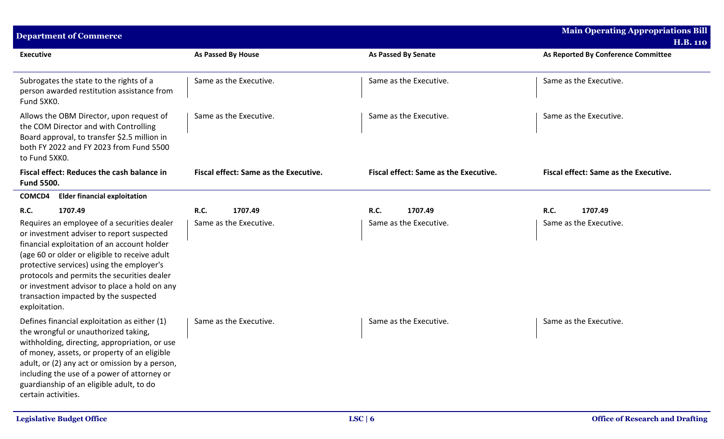| <b>Department of Commerce</b>                                                                                                                                                                                                                                                                                                                                                                  |                                       |                                       | <b>Main Operating Appropriations Bill</b><br><b>H.B. 110</b> |
|------------------------------------------------------------------------------------------------------------------------------------------------------------------------------------------------------------------------------------------------------------------------------------------------------------------------------------------------------------------------------------------------|---------------------------------------|---------------------------------------|--------------------------------------------------------------|
| <b>Executive</b>                                                                                                                                                                                                                                                                                                                                                                               | As Passed By House                    | <b>As Passed By Senate</b>            | As Reported By Conference Committee                          |
| Subrogates the state to the rights of a<br>person awarded restitution assistance from<br>Fund 5XK0.                                                                                                                                                                                                                                                                                            | Same as the Executive.                | Same as the Executive.                | Same as the Executive.                                       |
| Allows the OBM Director, upon request of<br>the COM Director and with Controlling<br>Board approval, to transfer \$2.5 million in<br>both FY 2022 and FY 2023 from Fund 5500<br>to Fund 5XK0.                                                                                                                                                                                                  | Same as the Executive.                | Same as the Executive.                | Same as the Executive.                                       |
| Fiscal effect: Reduces the cash balance in<br><b>Fund 5500.</b>                                                                                                                                                                                                                                                                                                                                | Fiscal effect: Same as the Executive. | Fiscal effect: Same as the Executive. | Fiscal effect: Same as the Executive.                        |
| <b>Elder financial exploitation</b><br>COMCD4                                                                                                                                                                                                                                                                                                                                                  |                                       |                                       |                                                              |
| 1707.49<br><b>R.C.</b>                                                                                                                                                                                                                                                                                                                                                                         | <b>R.C.</b><br>1707.49                | 1707.49<br><b>R.C.</b>                | 1707.49<br><b>R.C.</b>                                       |
| Requires an employee of a securities dealer<br>or investment adviser to report suspected<br>financial exploitation of an account holder<br>(age 60 or older or eligible to receive adult<br>protective services) using the employer's<br>protocols and permits the securities dealer<br>or investment advisor to place a hold on any<br>transaction impacted by the suspected<br>exploitation. | Same as the Executive.                | Same as the Executive.                | Same as the Executive.                                       |
| Defines financial exploitation as either (1)<br>the wrongful or unauthorized taking,<br>withholding, directing, appropriation, or use<br>of money, assets, or property of an eligible<br>adult, or (2) any act or omission by a person,<br>including the use of a power of attorney or<br>guardianship of an eligible adult, to do<br>certain activities.                                      | Same as the Executive.                | Same as the Executive.                | Same as the Executive.                                       |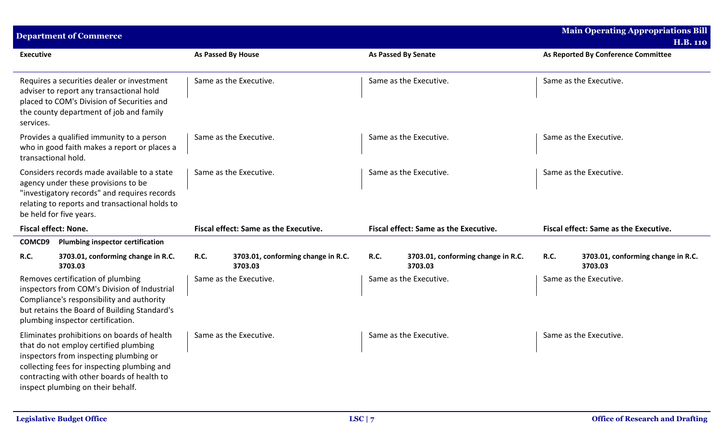|                     | <b>Department of Commerce</b>                                                                                                                                                                                                                                    |      |                                               |             |                                               |             | <b>Main Operating Appropriations Bill</b><br><b>H.B. 110</b> |
|---------------------|------------------------------------------------------------------------------------------------------------------------------------------------------------------------------------------------------------------------------------------------------------------|------|-----------------------------------------------|-------------|-----------------------------------------------|-------------|--------------------------------------------------------------|
| <b>Executive</b>    |                                                                                                                                                                                                                                                                  |      | As Passed By House                            |             | As Passed By Senate                           |             | As Reported By Conference Committee                          |
| services.           | Requires a securities dealer or investment<br>adviser to report any transactional hold<br>placed to COM's Division of Securities and<br>the county department of job and family                                                                                  |      | Same as the Executive.                        |             | Same as the Executive.                        |             | Same as the Executive.                                       |
| transactional hold. | Provides a qualified immunity to a person<br>who in good faith makes a report or places a                                                                                                                                                                        |      | Same as the Executive.                        |             | Same as the Executive.                        |             | Same as the Executive.                                       |
|                     | Considers records made available to a state<br>agency under these provisions to be<br>"investigatory records" and requires records<br>relating to reports and transactional holds to<br>be held for five years.                                                  |      | Same as the Executive.                        |             | Same as the Executive.                        |             | Same as the Executive.                                       |
|                     | <b>Fiscal effect: None.</b>                                                                                                                                                                                                                                      |      | Fiscal effect: Same as the Executive.         |             | Fiscal effect: Same as the Executive.         |             | Fiscal effect: Same as the Executive.                        |
| COMCD9              | <b>Plumbing inspector certification</b>                                                                                                                                                                                                                          |      |                                               |             |                                               |             |                                                              |
| R.C.                | 3703.01, conforming change in R.C.<br>3703.03                                                                                                                                                                                                                    | R.C. | 3703.01, conforming change in R.C.<br>3703.03 | <b>R.C.</b> | 3703.01, conforming change in R.C.<br>3703.03 | <b>R.C.</b> | 3703.01, conforming change in R.C.<br>3703.03                |
|                     | Removes certification of plumbing<br>inspectors from COM's Division of Industrial<br>Compliance's responsibility and authority<br>but retains the Board of Building Standard's<br>plumbing inspector certification.                                              |      | Same as the Executive.                        |             | Same as the Executive.                        |             | Same as the Executive.                                       |
|                     | Eliminates prohibitions on boards of health<br>that do not employ certified plumbing<br>inspectors from inspecting plumbing or<br>collecting fees for inspecting plumbing and<br>contracting with other boards of health to<br>inspect plumbing on their behalf. |      | Same as the Executive.                        |             | Same as the Executive.                        |             | Same as the Executive.                                       |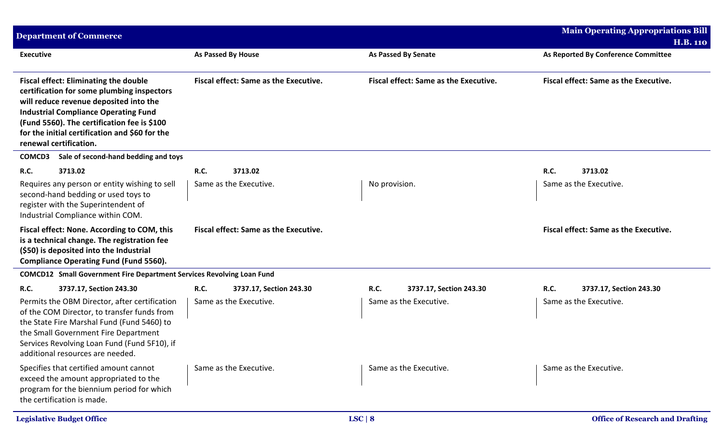| <b>Department of Commerce</b>                                                                                                                                                                                                                                                                                  |                                              |                                              | <b>Main Operating Appropriations Bill</b>    |
|----------------------------------------------------------------------------------------------------------------------------------------------------------------------------------------------------------------------------------------------------------------------------------------------------------------|----------------------------------------------|----------------------------------------------|----------------------------------------------|
|                                                                                                                                                                                                                                                                                                                |                                              |                                              | <b>H.B. 110</b>                              |
| <b>Executive</b>                                                                                                                                                                                                                                                                                               | As Passed By House                           | <b>As Passed By Senate</b>                   | As Reported By Conference Committee          |
| <b>Fiscal effect: Eliminating the double</b><br>certification for some plumbing inspectors<br>will reduce revenue deposited into the<br><b>Industrial Compliance Operating Fund</b><br>(Fund 5560). The certification fee is \$100<br>for the initial certification and \$60 for the<br>renewal certification. | <b>Fiscal effect: Same as the Executive.</b> | <b>Fiscal effect: Same as the Executive.</b> | <b>Fiscal effect: Same as the Executive.</b> |
| Sale of second-hand bedding and toys<br><b>COMCD3</b>                                                                                                                                                                                                                                                          |                                              |                                              |                                              |
| <b>R.C.</b><br>3713.02                                                                                                                                                                                                                                                                                         | <b>R.C.</b><br>3713.02                       |                                              | <b>R.C.</b><br>3713.02                       |
| Requires any person or entity wishing to sell<br>second-hand bedding or used toys to<br>register with the Superintendent of<br>Industrial Compliance within COM.                                                                                                                                               | Same as the Executive.                       | No provision.                                | Same as the Executive.                       |
| Fiscal effect: None. According to COM, this<br>is a technical change. The registration fee<br>(\$50) is deposited into the Industrial<br><b>Compliance Operating Fund (Fund 5560).</b>                                                                                                                         | <b>Fiscal effect: Same as the Executive.</b> |                                              | Fiscal effect: Same as the Executive.        |
| <b>COMCD12</b> Small Government Fire Department Services Revolving Loan Fund                                                                                                                                                                                                                                   |                                              |                                              |                                              |
| R.C.<br>3737.17, Section 243.30                                                                                                                                                                                                                                                                                | <b>R.C.</b><br>3737.17, Section 243.30       | <b>R.C.</b><br>3737.17, Section 243.30       | R.C.<br>3737.17, Section 243.30              |
| Permits the OBM Director, after certification<br>of the COM Director, to transfer funds from<br>the State Fire Marshal Fund (Fund 5460) to<br>the Small Government Fire Department<br>Services Revolving Loan Fund (Fund 5F10), if<br>additional resources are needed.                                         | Same as the Executive.                       | Same as the Executive.                       | Same as the Executive.                       |
| Specifies that certified amount cannot<br>exceed the amount appropriated to the<br>program for the biennium period for which<br>the certification is made.                                                                                                                                                     | Same as the Executive.                       | Same as the Executive.                       | Same as the Executive.                       |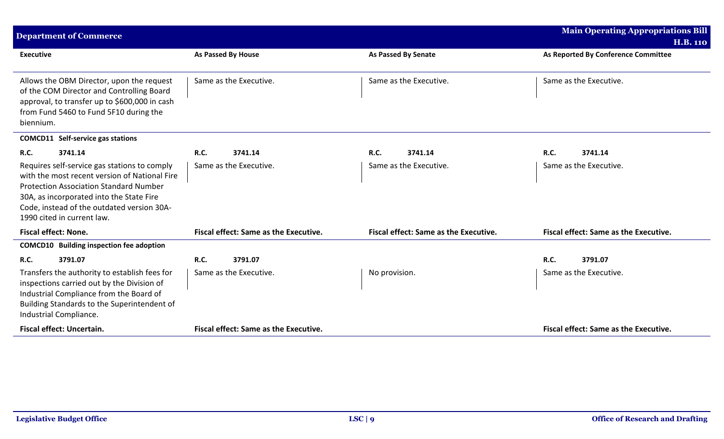| <b>Department of Commerce</b>                                                                                                                                                                                                                                          |                                              |                                              | <b>Main Operating Appropriations Bill</b>    |
|------------------------------------------------------------------------------------------------------------------------------------------------------------------------------------------------------------------------------------------------------------------------|----------------------------------------------|----------------------------------------------|----------------------------------------------|
|                                                                                                                                                                                                                                                                        |                                              |                                              | <b>H.B. 110</b>                              |
| <b>Executive</b>                                                                                                                                                                                                                                                       | As Passed By House                           | <b>As Passed By Senate</b>                   | As Reported By Conference Committee          |
| Allows the OBM Director, upon the request<br>of the COM Director and Controlling Board<br>approval, to transfer up to \$600,000 in cash<br>from Fund 5460 to Fund 5F10 during the<br>biennium.                                                                         | Same as the Executive.                       | Same as the Executive.                       | Same as the Executive.                       |
| <b>COMCD11</b> Self-service gas stations                                                                                                                                                                                                                               |                                              |                                              |                                              |
| 3741.14<br>R.C.                                                                                                                                                                                                                                                        | <b>R.C.</b><br>3741.14                       | R.C.<br>3741.14                              | R.C.<br>3741.14                              |
| Requires self-service gas stations to comply<br>with the most recent version of National Fire<br><b>Protection Association Standard Number</b><br>30A, as incorporated into the State Fire<br>Code, instead of the outdated version 30A-<br>1990 cited in current law. | Same as the Executive.                       | Same as the Executive.                       | Same as the Executive.                       |
| <b>Fiscal effect: None.</b>                                                                                                                                                                                                                                            | <b>Fiscal effect: Same as the Executive.</b> | <b>Fiscal effect: Same as the Executive.</b> | <b>Fiscal effect: Same as the Executive.</b> |
| <b>COMCD10</b> Building inspection fee adoption                                                                                                                                                                                                                        |                                              |                                              |                                              |
| R.C.<br>3791.07                                                                                                                                                                                                                                                        | <b>R.C.</b><br>3791.07                       |                                              | R.C.<br>3791.07                              |
| Transfers the authority to establish fees for<br>inspections carried out by the Division of<br>Industrial Compliance from the Board of<br>Building Standards to the Superintendent of<br>Industrial Compliance.                                                        | Same as the Executive.                       | No provision.                                | Same as the Executive.                       |
| <b>Fiscal effect: Uncertain.</b>                                                                                                                                                                                                                                       | <b>Fiscal effect: Same as the Executive.</b> |                                              | Fiscal effect: Same as the Executive.        |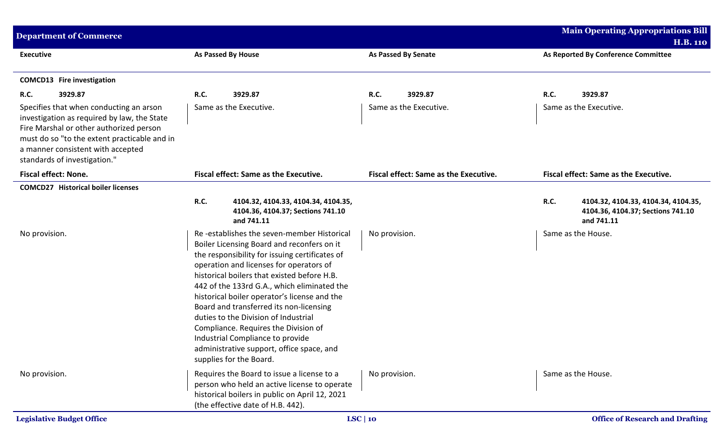| <b>Department of Commerce</b>                                                                                                                                                                                                                          |                                                                                                                                                                                                                                                                                                                                                                                                                                                                                |                                              | <b>Main Operating Appropriations Bill</b>                                                                                   |
|--------------------------------------------------------------------------------------------------------------------------------------------------------------------------------------------------------------------------------------------------------|--------------------------------------------------------------------------------------------------------------------------------------------------------------------------------------------------------------------------------------------------------------------------------------------------------------------------------------------------------------------------------------------------------------------------------------------------------------------------------|----------------------------------------------|-----------------------------------------------------------------------------------------------------------------------------|
| <b>Executive</b>                                                                                                                                                                                                                                       | As Passed By House                                                                                                                                                                                                                                                                                                                                                                                                                                                             | <b>As Passed By Senate</b>                   | <b>H.B. 110</b><br>As Reported By Conference Committee                                                                      |
| <b>COMCD13</b> Fire investigation                                                                                                                                                                                                                      |                                                                                                                                                                                                                                                                                                                                                                                                                                                                                |                                              |                                                                                                                             |
| <b>R.C.</b><br>3929.87                                                                                                                                                                                                                                 | 3929.87<br><b>R.C.</b>                                                                                                                                                                                                                                                                                                                                                                                                                                                         | <b>R.C.</b><br>3929.87                       | 3929.87<br><b>R.C.</b>                                                                                                      |
| Specifies that when conducting an arson<br>investigation as required by law, the State<br>Fire Marshal or other authorized person<br>must do so "to the extent practicable and in<br>a manner consistent with accepted<br>standards of investigation." | Same as the Executive.                                                                                                                                                                                                                                                                                                                                                                                                                                                         | Same as the Executive.                       | Same as the Executive.                                                                                                      |
| <b>Fiscal effect: None.</b>                                                                                                                                                                                                                            | Fiscal effect: Same as the Executive.                                                                                                                                                                                                                                                                                                                                                                                                                                          | <b>Fiscal effect: Same as the Executive.</b> | Fiscal effect: Same as the Executive.                                                                                       |
| <b>COMCD27</b> Historical boiler licenses<br>No provision.                                                                                                                                                                                             | <b>R.C.</b><br>4104.32, 4104.33, 4104.34, 4104.35,<br>4104.36, 4104.37; Sections 741.10<br>and 741.11<br>Re-establishes the seven-member Historical<br>Boiler Licensing Board and reconfers on it                                                                                                                                                                                                                                                                              | No provision.                                | <b>R.C.</b><br>4104.32, 4104.33, 4104.34, 4104.35,<br>4104.36, 4104.37; Sections 741.10<br>and 741.11<br>Same as the House. |
|                                                                                                                                                                                                                                                        | the responsibility for issuing certificates of<br>operation and licenses for operators of<br>historical boilers that existed before H.B.<br>442 of the 133rd G.A., which eliminated the<br>historical boiler operator's license and the<br>Board and transferred its non-licensing<br>duties to the Division of Industrial<br>Compliance. Requires the Division of<br>Industrial Compliance to provide<br>administrative support, office space, and<br>supplies for the Board. |                                              |                                                                                                                             |
| No provision.                                                                                                                                                                                                                                          | Requires the Board to issue a license to a<br>person who held an active license to operate<br>historical boilers in public on April 12, 2021<br>(the effective date of H.B. 442).                                                                                                                                                                                                                                                                                              | No provision.                                | Same as the House.                                                                                                          |
| <b>Legislative Budget Office</b>                                                                                                                                                                                                                       |                                                                                                                                                                                                                                                                                                                                                                                                                                                                                | LSC   10                                     | <b>Office of Research and Drafting</b>                                                                                      |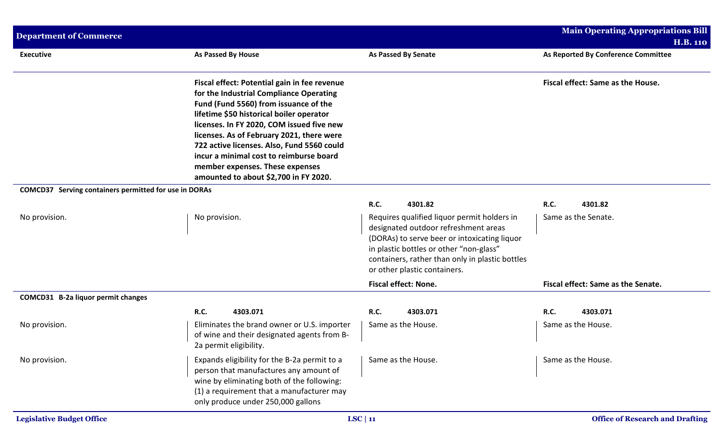| <b>Department of Commerce</b>                                |                                                                                                                                                                                                                                                                                                                                                                                                                                             |                                                                                                                                                                                                                                                                   | <b>Main Operating Appropriations Bill</b> |
|--------------------------------------------------------------|---------------------------------------------------------------------------------------------------------------------------------------------------------------------------------------------------------------------------------------------------------------------------------------------------------------------------------------------------------------------------------------------------------------------------------------------|-------------------------------------------------------------------------------------------------------------------------------------------------------------------------------------------------------------------------------------------------------------------|-------------------------------------------|
|                                                              |                                                                                                                                                                                                                                                                                                                                                                                                                                             |                                                                                                                                                                                                                                                                   | <b>H.B. 110</b>                           |
| <b>Executive</b>                                             | <b>As Passed By House</b>                                                                                                                                                                                                                                                                                                                                                                                                                   | <b>As Passed By Senate</b>                                                                                                                                                                                                                                        | As Reported By Conference Committee       |
|                                                              | Fiscal effect: Potential gain in fee revenue<br>for the Industrial Compliance Operating<br>Fund (Fund 5560) from issuance of the<br>lifetime \$50 historical boiler operator<br>licenses. In FY 2020, COM issued five new<br>licenses. As of February 2021, there were<br>722 active licenses. Also, Fund 5560 could<br>incur a minimal cost to reimburse board<br>member expenses. These expenses<br>amounted to about \$2,700 in FY 2020. |                                                                                                                                                                                                                                                                   | Fiscal effect: Same as the House.         |
| <b>COMCD37</b> Serving containers permitted for use in DORAs |                                                                                                                                                                                                                                                                                                                                                                                                                                             |                                                                                                                                                                                                                                                                   |                                           |
|                                                              |                                                                                                                                                                                                                                                                                                                                                                                                                                             | R.C.<br>4301.82                                                                                                                                                                                                                                                   | R.C.<br>4301.82                           |
| No provision.                                                | No provision.                                                                                                                                                                                                                                                                                                                                                                                                                               | Requires qualified liquor permit holders in<br>designated outdoor refreshment areas<br>(DORAs) to serve beer or intoxicating liquor<br>in plastic bottles or other "non-glass"<br>containers, rather than only in plastic bottles<br>or other plastic containers. | Same as the Senate.                       |
|                                                              |                                                                                                                                                                                                                                                                                                                                                                                                                                             | <b>Fiscal effect: None.</b>                                                                                                                                                                                                                                       | Fiscal effect: Same as the Senate.        |
| COMCD31 B-2a liquor permit changes                           |                                                                                                                                                                                                                                                                                                                                                                                                                                             |                                                                                                                                                                                                                                                                   |                                           |
|                                                              | <b>R.C.</b><br>4303.071                                                                                                                                                                                                                                                                                                                                                                                                                     | R.C.<br>4303.071                                                                                                                                                                                                                                                  | R.C.<br>4303.071                          |
| No provision.                                                | Eliminates the brand owner or U.S. importer<br>of wine and their designated agents from B-<br>2a permit eligibility.                                                                                                                                                                                                                                                                                                                        | Same as the House.                                                                                                                                                                                                                                                | Same as the House.                        |
| No provision.                                                | Expands eligibility for the B-2a permit to a<br>person that manufactures any amount of<br>wine by eliminating both of the following:<br>(1) a requirement that a manufacturer may<br>only produce under 250,000 gallons                                                                                                                                                                                                                     | Same as the House.                                                                                                                                                                                                                                                | Same as the House.                        |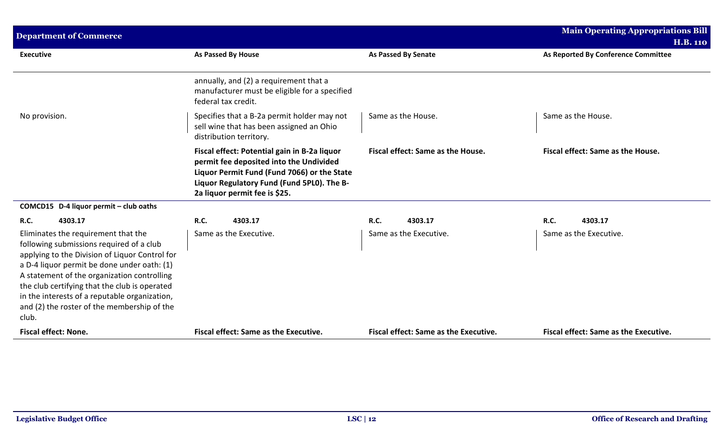| <b>Department of Commerce</b>                                                                                                                                                                                                                                                                                                                                                             |                                                                                                                                                                                                                       |                                              | <b>Main Operating Appropriations Bill</b><br><b>H.B. 110</b> |
|-------------------------------------------------------------------------------------------------------------------------------------------------------------------------------------------------------------------------------------------------------------------------------------------------------------------------------------------------------------------------------------------|-----------------------------------------------------------------------------------------------------------------------------------------------------------------------------------------------------------------------|----------------------------------------------|--------------------------------------------------------------|
| <b>Executive</b>                                                                                                                                                                                                                                                                                                                                                                          | As Passed By House                                                                                                                                                                                                    | <b>As Passed By Senate</b>                   | As Reported By Conference Committee                          |
|                                                                                                                                                                                                                                                                                                                                                                                           | annually, and (2) a requirement that a<br>manufacturer must be eligible for a specified<br>federal tax credit.                                                                                                        |                                              |                                                              |
| No provision.                                                                                                                                                                                                                                                                                                                                                                             | Specifies that a B-2a permit holder may not<br>sell wine that has been assigned an Ohio<br>distribution territory.                                                                                                    | Same as the House.                           | Same as the House.                                           |
|                                                                                                                                                                                                                                                                                                                                                                                           | Fiscal effect: Potential gain in B-2a liquor<br>permit fee deposited into the Undivided<br>Liquor Permit Fund (Fund 7066) or the State<br>Liquor Regulatory Fund (Fund 5PL0). The B-<br>2a liquor permit fee is \$25. | Fiscal effect: Same as the House.            | Fiscal effect: Same as the House.                            |
| COMCD15 D-4 liquor permit - club oaths                                                                                                                                                                                                                                                                                                                                                    |                                                                                                                                                                                                                       |                                              |                                                              |
| <b>R.C.</b><br>4303.17                                                                                                                                                                                                                                                                                                                                                                    | <b>R.C.</b><br>4303.17                                                                                                                                                                                                | <b>R.C.</b><br>4303.17                       | R.C.<br>4303.17                                              |
| Eliminates the requirement that the<br>following submissions required of a club<br>applying to the Division of Liquor Control for<br>a D-4 liquor permit be done under oath: (1)<br>A statement of the organization controlling<br>the club certifying that the club is operated<br>in the interests of a reputable organization,<br>and (2) the roster of the membership of the<br>club. | Same as the Executive.                                                                                                                                                                                                | Same as the Executive.                       | Same as the Executive.                                       |
| <b>Fiscal effect: None.</b>                                                                                                                                                                                                                                                                                                                                                               | <b>Fiscal effect: Same as the Executive.</b>                                                                                                                                                                          | <b>Fiscal effect: Same as the Executive.</b> | <b>Fiscal effect: Same as the Executive.</b>                 |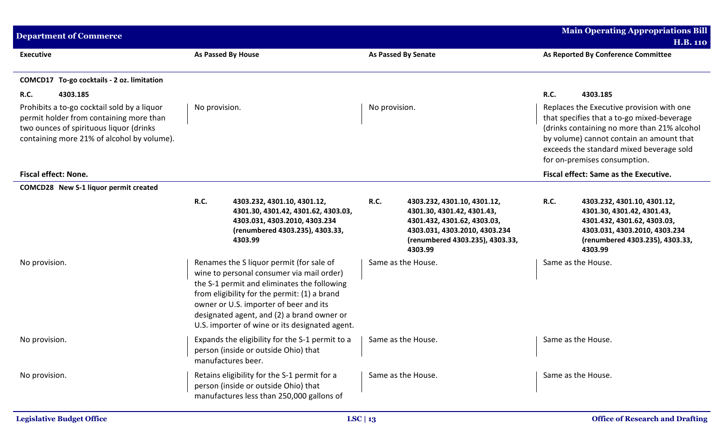| <b>Department of Commerce</b>                                                                                                                                                   |               |                                                                                                                                                                                                                                                                                                                                |               |                                                                                                                                                                         |             | <b>Main Operating Appropriations Bill</b><br><b>H.B. 110</b>                                                                                                                                                                                                   |
|---------------------------------------------------------------------------------------------------------------------------------------------------------------------------------|---------------|--------------------------------------------------------------------------------------------------------------------------------------------------------------------------------------------------------------------------------------------------------------------------------------------------------------------------------|---------------|-------------------------------------------------------------------------------------------------------------------------------------------------------------------------|-------------|----------------------------------------------------------------------------------------------------------------------------------------------------------------------------------------------------------------------------------------------------------------|
| <b>Executive</b>                                                                                                                                                                |               | As Passed By House                                                                                                                                                                                                                                                                                                             |               | <b>As Passed By Senate</b>                                                                                                                                              |             | As Reported By Conference Committee                                                                                                                                                                                                                            |
| COMCD17 To-go cocktails - 2 oz. limitation                                                                                                                                      |               |                                                                                                                                                                                                                                                                                                                                |               |                                                                                                                                                                         |             |                                                                                                                                                                                                                                                                |
| <b>R.C.</b><br>4303.185                                                                                                                                                         |               |                                                                                                                                                                                                                                                                                                                                |               |                                                                                                                                                                         | <b>R.C.</b> | 4303.185                                                                                                                                                                                                                                                       |
| Prohibits a to-go cocktail sold by a liquor<br>permit holder from containing more than<br>two ounces of spirituous liquor (drinks<br>containing more 21% of alcohol by volume). | No provision. |                                                                                                                                                                                                                                                                                                                                | No provision. |                                                                                                                                                                         |             | Replaces the Executive provision with one<br>that specifies that a to-go mixed-beverage<br>(drinks containing no more than 21% alcohol<br>by volume) cannot contain an amount that<br>exceeds the standard mixed beverage sold<br>for on-premises consumption. |
| <b>Fiscal effect: None.</b>                                                                                                                                                     |               |                                                                                                                                                                                                                                                                                                                                |               |                                                                                                                                                                         |             | Fiscal effect: Same as the Executive.                                                                                                                                                                                                                          |
| COMCD28 New S-1 liquor permit created                                                                                                                                           |               |                                                                                                                                                                                                                                                                                                                                |               |                                                                                                                                                                         |             |                                                                                                                                                                                                                                                                |
|                                                                                                                                                                                 | <b>R.C.</b>   | 4303.232, 4301.10, 4301.12,<br>4301.30, 4301.42, 4301.62, 4303.03,<br>4303.031, 4303.2010, 4303.234<br>(renumbered 4303.235), 4303.33,<br>4303.99                                                                                                                                                                              | <b>R.C.</b>   | 4303.232, 4301.10, 4301.12,<br>4301.30, 4301.42, 4301.43,<br>4301.432, 4301.62, 4303.03,<br>4303.031, 4303.2010, 4303.234<br>(renumbered 4303.235), 4303.33,<br>4303.99 | <b>R.C.</b> | 4303.232, 4301.10, 4301.12,<br>4301.30, 4301.42, 4301.43,<br>4301.432, 4301.62, 4303.03,<br>4303.031, 4303.2010, 4303.234<br>(renumbered 4303.235), 4303.33,<br>4303.99                                                                                        |
| No provision.                                                                                                                                                                   |               | Renames the S liquor permit (for sale of<br>wine to personal consumer via mail order)<br>the S-1 permit and eliminates the following<br>from eligibility for the permit: (1) a brand<br>owner or U.S. importer of beer and its<br>designated agent, and (2) a brand owner or<br>U.S. importer of wine or its designated agent. |               | Same as the House.                                                                                                                                                      |             | Same as the House.                                                                                                                                                                                                                                             |
| No provision.                                                                                                                                                                   |               | Expands the eligibility for the S-1 permit to a<br>person (inside or outside Ohio) that<br>manufactures beer.                                                                                                                                                                                                                  |               | Same as the House.                                                                                                                                                      |             | Same as the House.                                                                                                                                                                                                                                             |
| No provision.                                                                                                                                                                   |               | Retains eligibility for the S-1 permit for a<br>person (inside or outside Ohio) that<br>manufactures less than 250,000 gallons of                                                                                                                                                                                              |               | Same as the House.                                                                                                                                                      |             | Same as the House.                                                                                                                                                                                                                                             |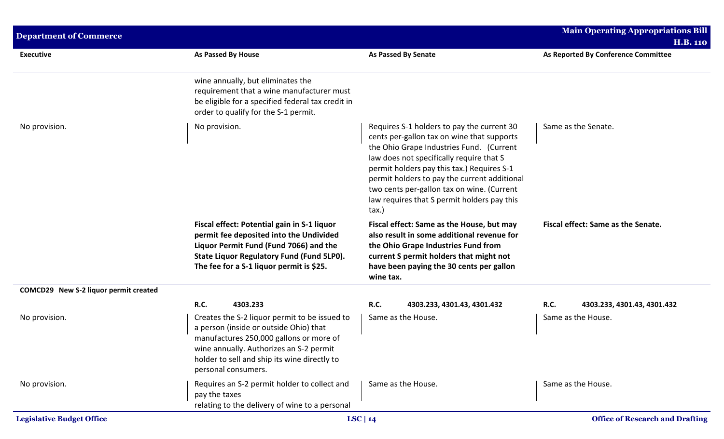| <b>Department of Commerce</b>         |                                                                                                                                                                                                                                                      |                                                                                                                                                                                                                                                                                                                                                                                      | <b>Main Operating Appropriations Bill</b><br><b>H.B. 110</b> |
|---------------------------------------|------------------------------------------------------------------------------------------------------------------------------------------------------------------------------------------------------------------------------------------------------|--------------------------------------------------------------------------------------------------------------------------------------------------------------------------------------------------------------------------------------------------------------------------------------------------------------------------------------------------------------------------------------|--------------------------------------------------------------|
| <b>Executive</b>                      | <b>As Passed By House</b>                                                                                                                                                                                                                            | <b>As Passed By Senate</b>                                                                                                                                                                                                                                                                                                                                                           | As Reported By Conference Committee                          |
|                                       | wine annually, but eliminates the<br>requirement that a wine manufacturer must<br>be eligible for a specified federal tax credit in<br>order to qualify for the S-1 permit.                                                                          |                                                                                                                                                                                                                                                                                                                                                                                      |                                                              |
| No provision.                         | No provision.                                                                                                                                                                                                                                        | Requires S-1 holders to pay the current 30<br>cents per-gallon tax on wine that supports<br>the Ohio Grape Industries Fund. (Current<br>law does not specifically require that S<br>permit holders pay this tax.) Requires S-1<br>permit holders to pay the current additional<br>two cents per-gallon tax on wine. (Current<br>law requires that S permit holders pay this<br>tax.) | Same as the Senate.                                          |
|                                       | Fiscal effect: Potential gain in S-1 liquor<br>permit fee deposited into the Undivided<br>Liquor Permit Fund (Fund 7066) and the<br><b>State Liquor Regulatory Fund (Fund 5LP0).</b><br>The fee for a S-1 liquor permit is \$25.                     | Fiscal effect: Same as the House, but may<br>also result in some additional revenue for<br>the Ohio Grape Industries Fund from<br>current S permit holders that might not<br>have been paying the 30 cents per gallon<br>wine tax.                                                                                                                                                   | Fiscal effect: Same as the Senate.                           |
| COMCD29 New S-2 liquor permit created |                                                                                                                                                                                                                                                      |                                                                                                                                                                                                                                                                                                                                                                                      |                                                              |
|                                       | <b>R.C.</b><br>4303.233                                                                                                                                                                                                                              | <b>R.C.</b><br>4303.233, 4301.43, 4301.432                                                                                                                                                                                                                                                                                                                                           | R.C.<br>4303.233, 4301.43, 4301.432                          |
| No provision.                         | Creates the S-2 liquor permit to be issued to<br>a person (inside or outside Ohio) that<br>manufactures 250,000 gallons or more of<br>wine annually. Authorizes an S-2 permit<br>holder to sell and ship its wine directly to<br>personal consumers. | Same as the House.                                                                                                                                                                                                                                                                                                                                                                   | Same as the House.                                           |
| No provision.                         | Requires an S-2 permit holder to collect and<br>pay the taxes<br>relating to the delivery of wine to a personal                                                                                                                                      | Same as the House.                                                                                                                                                                                                                                                                                                                                                                   | Same as the House.                                           |
| <b>Legislative Budget Office</b>      |                                                                                                                                                                                                                                                      | LSC   $14$                                                                                                                                                                                                                                                                                                                                                                           | <b>Office of Research and Drafting</b>                       |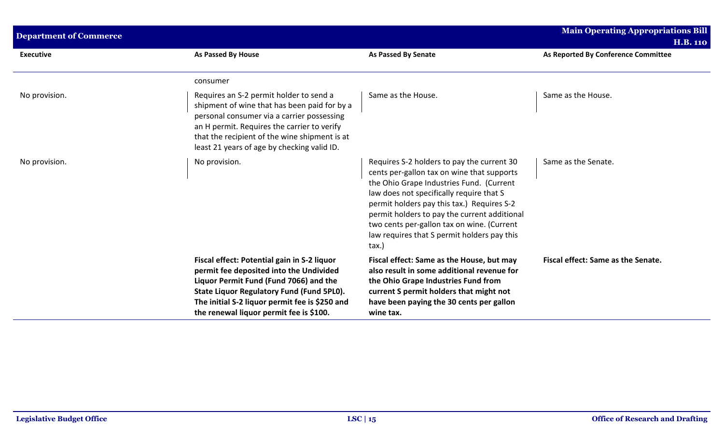| <b>Department of Commerce</b> |                                                                                                                                                                                                                                                                                      |                                                                                                                                                                                                                                                                                                                                                                                                | <b>Main Operating Appropriations Bill</b>              |
|-------------------------------|--------------------------------------------------------------------------------------------------------------------------------------------------------------------------------------------------------------------------------------------------------------------------------------|------------------------------------------------------------------------------------------------------------------------------------------------------------------------------------------------------------------------------------------------------------------------------------------------------------------------------------------------------------------------------------------------|--------------------------------------------------------|
| <b>Executive</b>              | As Passed By House                                                                                                                                                                                                                                                                   | As Passed By Senate                                                                                                                                                                                                                                                                                                                                                                            | <b>H.B. 110</b><br>As Reported By Conference Committee |
|                               | consumer                                                                                                                                                                                                                                                                             |                                                                                                                                                                                                                                                                                                                                                                                                |                                                        |
| No provision.                 | Requires an S-2 permit holder to send a<br>shipment of wine that has been paid for by a<br>personal consumer via a carrier possessing<br>an H permit. Requires the carrier to verify<br>that the recipient of the wine shipment is at<br>least 21 years of age by checking valid ID. | Same as the House.                                                                                                                                                                                                                                                                                                                                                                             | Same as the House.                                     |
| No provision.                 | No provision.                                                                                                                                                                                                                                                                        | Requires S-2 holders to pay the current 30<br>cents per-gallon tax on wine that supports<br>the Ohio Grape Industries Fund. (Current<br>law does not specifically require that S<br>permit holders pay this tax.) Requires S-2<br>permit holders to pay the current additional<br>two cents per-gallon tax on wine. (Current<br>law requires that S permit holders pay this<br>$\text{tax.}$ ) | Same as the Senate.                                    |
|                               | Fiscal effect: Potential gain in S-2 liquor<br>permit fee deposited into the Undivided<br>Liquor Permit Fund (Fund 7066) and the<br>State Liquor Regulatory Fund (Fund 5PL0).<br>The initial S-2 liquor permit fee is \$250 and<br>the renewal liquor permit fee is \$100.           | Fiscal effect: Same as the House, but may<br>also result in some additional revenue for<br>the Ohio Grape Industries Fund from<br>current S permit holders that might not<br>have been paying the 30 cents per gallon<br>wine tax.                                                                                                                                                             | Fiscal effect: Same as the Senate.                     |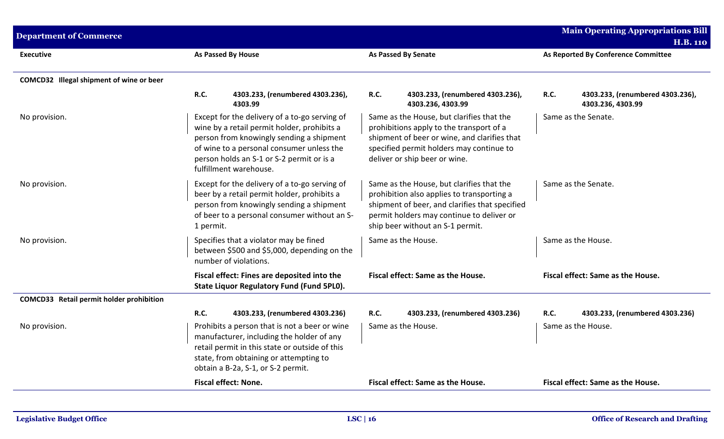| <b>Department of Commerce</b>            |                                                                                                                                                                                                                                                              |                                                                                                                                                                                                                            | <b>Main Operating Appropriations Bill</b><br><b>H.B. 110</b>         |
|------------------------------------------|--------------------------------------------------------------------------------------------------------------------------------------------------------------------------------------------------------------------------------------------------------------|----------------------------------------------------------------------------------------------------------------------------------------------------------------------------------------------------------------------------|----------------------------------------------------------------------|
| <b>Executive</b>                         | As Passed By House                                                                                                                                                                                                                                           | <b>As Passed By Senate</b>                                                                                                                                                                                                 | As Reported By Conference Committee                                  |
| COMCD32 Illegal shipment of wine or beer |                                                                                                                                                                                                                                                              |                                                                                                                                                                                                                            |                                                                      |
|                                          | <b>R.C.</b><br>4303.233, (renumbered 4303.236),<br>4303.99                                                                                                                                                                                                   | <b>R.C.</b><br>4303.233, (renumbered 4303.236),<br>4303.236, 4303.99                                                                                                                                                       | <b>R.C.</b><br>4303.233, (renumbered 4303.236),<br>4303.236, 4303.99 |
| No provision.                            | Except for the delivery of a to-go serving of<br>wine by a retail permit holder, prohibits a<br>person from knowingly sending a shipment<br>of wine to a personal consumer unless the<br>person holds an S-1 or S-2 permit or is a<br>fulfillment warehouse. | Same as the House, but clarifies that the<br>prohibitions apply to the transport of a<br>shipment of beer or wine, and clarifies that<br>specified permit holders may continue to<br>deliver or ship beer or wine.         | Same as the Senate.                                                  |
| No provision.                            | Except for the delivery of a to-go serving of<br>beer by a retail permit holder, prohibits a<br>person from knowingly sending a shipment<br>of beer to a personal consumer without an S-<br>1 permit.                                                        | Same as the House, but clarifies that the<br>prohibition also applies to transporting a<br>shipment of beer, and clarifies that specified<br>permit holders may continue to deliver or<br>ship beer without an S-1 permit. | Same as the Senate.                                                  |
| No provision.                            | Specifies that a violator may be fined<br>between \$500 and \$5,000, depending on the<br>number of violations.                                                                                                                                               | Same as the House.                                                                                                                                                                                                         | Same as the House.                                                   |
|                                          | Fiscal effect: Fines are deposited into the<br>State Liquor Regulatory Fund (Fund 5PL0).                                                                                                                                                                     | Fiscal effect: Same as the House.                                                                                                                                                                                          | Fiscal effect: Same as the House.                                    |
| COMCD33 Retail permit holder prohibition |                                                                                                                                                                                                                                                              |                                                                                                                                                                                                                            |                                                                      |
|                                          | <b>R.C.</b><br>4303.233, (renumbered 4303.236)                                                                                                                                                                                                               | <b>R.C.</b><br>4303.233, (renumbered 4303.236)                                                                                                                                                                             | <b>R.C.</b><br>4303.233, (renumbered 4303.236)                       |
| No provision.                            | Prohibits a person that is not a beer or wine<br>manufacturer, including the holder of any<br>retail permit in this state or outside of this<br>state, from obtaining or attempting to<br>obtain a B-2a, S-1, or S-2 permit.                                 | Same as the House.                                                                                                                                                                                                         | Same as the House.                                                   |
|                                          | <b>Fiscal effect: None.</b>                                                                                                                                                                                                                                  | Fiscal effect: Same as the House.                                                                                                                                                                                          | Fiscal effect: Same as the House.                                    |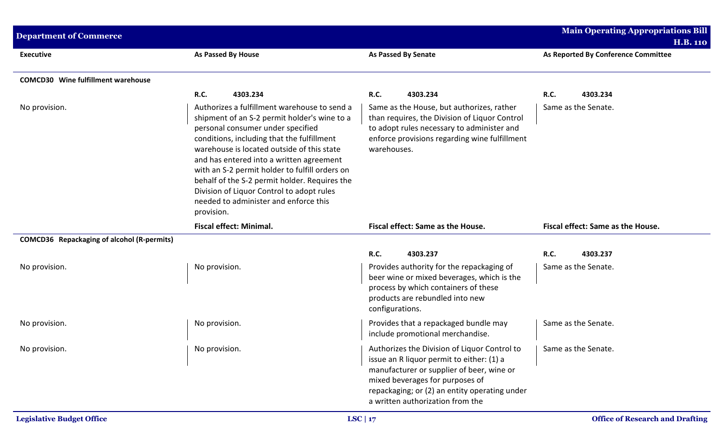| <b>Department of Commerce</b>              |                                                                                                                                                                                                                                                                                                                                                                                                                                                                                  |                                                                                                                                                                                                                                                                | <b>Main Operating Appropriations Bill</b><br><b>H.B. 110</b> |
|--------------------------------------------|----------------------------------------------------------------------------------------------------------------------------------------------------------------------------------------------------------------------------------------------------------------------------------------------------------------------------------------------------------------------------------------------------------------------------------------------------------------------------------|----------------------------------------------------------------------------------------------------------------------------------------------------------------------------------------------------------------------------------------------------------------|--------------------------------------------------------------|
| <b>Executive</b>                           | As Passed By House                                                                                                                                                                                                                                                                                                                                                                                                                                                               | <b>As Passed By Senate</b>                                                                                                                                                                                                                                     | As Reported By Conference Committee                          |
| <b>COMCD30</b> Wine fulfillment warehouse  |                                                                                                                                                                                                                                                                                                                                                                                                                                                                                  |                                                                                                                                                                                                                                                                |                                                              |
|                                            | <b>R.C.</b><br>4303.234                                                                                                                                                                                                                                                                                                                                                                                                                                                          | R.C.<br>4303.234                                                                                                                                                                                                                                               | <b>R.C.</b><br>4303.234                                      |
| No provision.                              | Authorizes a fulfillment warehouse to send a<br>shipment of an S-2 permit holder's wine to a<br>personal consumer under specified<br>conditions, including that the fulfillment<br>warehouse is located outside of this state<br>and has entered into a written agreement<br>with an S-2 permit holder to fulfill orders on<br>behalf of the S-2 permit holder. Requires the<br>Division of Liquor Control to adopt rules<br>needed to administer and enforce this<br>provision. | Same as the House, but authorizes, rather<br>than requires, the Division of Liquor Control<br>to adopt rules necessary to administer and<br>enforce provisions regarding wine fulfillment<br>warehouses.                                                       | Same as the Senate.                                          |
|                                            | <b>Fiscal effect: Minimal.</b>                                                                                                                                                                                                                                                                                                                                                                                                                                                   | Fiscal effect: Same as the House.                                                                                                                                                                                                                              | Fiscal effect: Same as the House.                            |
| COMCD36 Repackaging of alcohol (R-permits) |                                                                                                                                                                                                                                                                                                                                                                                                                                                                                  |                                                                                                                                                                                                                                                                |                                                              |
|                                            |                                                                                                                                                                                                                                                                                                                                                                                                                                                                                  | R.C.<br>4303.237                                                                                                                                                                                                                                               | <b>R.C.</b><br>4303.237                                      |
| No provision.                              | No provision.                                                                                                                                                                                                                                                                                                                                                                                                                                                                    | Provides authority for the repackaging of<br>beer wine or mixed beverages, which is the<br>process by which containers of these<br>products are rebundled into new<br>configurations.                                                                          | Same as the Senate.                                          |
| No provision.                              | No provision.                                                                                                                                                                                                                                                                                                                                                                                                                                                                    | Provides that a repackaged bundle may<br>include promotional merchandise.                                                                                                                                                                                      | Same as the Senate.                                          |
| No provision.                              | No provision.                                                                                                                                                                                                                                                                                                                                                                                                                                                                    | Authorizes the Division of Liquor Control to<br>issue an R liquor permit to either: (1) a<br>manufacturer or supplier of beer, wine or<br>mixed beverages for purposes of<br>repackaging; or (2) an entity operating under<br>a written authorization from the | Same as the Senate.                                          |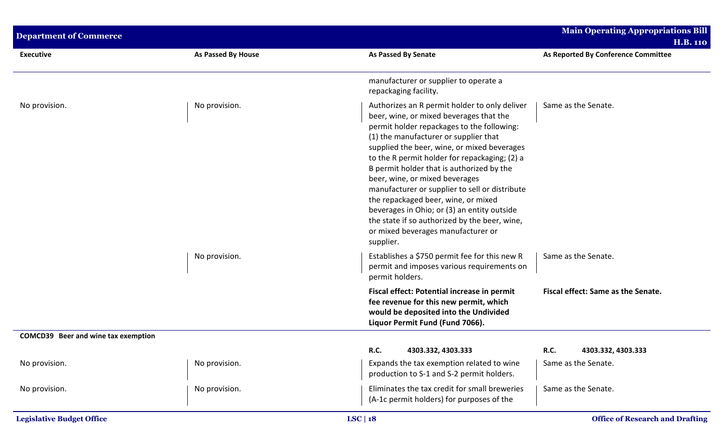| <b>Department of Commerce</b>       |                           |                                                                                                                                                                                                                                                                                                                                                                                                                                                                                                                                                                                                            | <b>Main Operating Appropriations Bill</b><br><b>H.B. 110</b> |
|-------------------------------------|---------------------------|------------------------------------------------------------------------------------------------------------------------------------------------------------------------------------------------------------------------------------------------------------------------------------------------------------------------------------------------------------------------------------------------------------------------------------------------------------------------------------------------------------------------------------------------------------------------------------------------------------|--------------------------------------------------------------|
| <b>Executive</b>                    | <b>As Passed By House</b> | <b>As Passed By Senate</b>                                                                                                                                                                                                                                                                                                                                                                                                                                                                                                                                                                                 | As Reported By Conference Committee                          |
|                                     |                           | manufacturer or supplier to operate a<br>repackaging facility.                                                                                                                                                                                                                                                                                                                                                                                                                                                                                                                                             |                                                              |
| No provision.                       | No provision.             | Authorizes an R permit holder to only deliver<br>beer, wine, or mixed beverages that the<br>permit holder repackages to the following:<br>(1) the manufacturer or supplier that<br>supplied the beer, wine, or mixed beverages<br>to the R permit holder for repackaging; (2) a<br>B permit holder that is authorized by the<br>beer, wine, or mixed beverages<br>manufacturer or supplier to sell or distribute<br>the repackaged beer, wine, or mixed<br>beverages in Ohio; or (3) an entity outside<br>the state if so authorized by the beer, wine,<br>or mixed beverages manufacturer or<br>supplier. | Same as the Senate.                                          |
|                                     | No provision.             | Establishes a \$750 permit fee for this new R<br>permit and imposes various requirements on<br>permit holders.                                                                                                                                                                                                                                                                                                                                                                                                                                                                                             | Same as the Senate.                                          |
|                                     |                           | Fiscal effect: Potential increase in permit<br>fee revenue for this new permit, which<br>would be deposited into the Undivided<br>Liquor Permit Fund (Fund 7066).                                                                                                                                                                                                                                                                                                                                                                                                                                          | Fiscal effect: Same as the Senate.                           |
| COMCD39 Beer and wine tax exemption |                           |                                                                                                                                                                                                                                                                                                                                                                                                                                                                                                                                                                                                            |                                                              |
|                                     |                           | R.C.<br>4303.332, 4303.333                                                                                                                                                                                                                                                                                                                                                                                                                                                                                                                                                                                 | R.C.<br>4303.332, 4303.333                                   |
| No provision.                       | No provision.             | Expands the tax exemption related to wine<br>production to S-1 and S-2 permit holders.                                                                                                                                                                                                                                                                                                                                                                                                                                                                                                                     | Same as the Senate.                                          |
| No provision.                       | No provision.             | Eliminates the tax credit for small breweries<br>(A-1c permit holders) for purposes of the                                                                                                                                                                                                                                                                                                                                                                                                                                                                                                                 | Same as the Senate.                                          |
| <b>Legislative Budget Office</b>    |                           | LSC   $18$                                                                                                                                                                                                                                                                                                                                                                                                                                                                                                                                                                                                 | <b>Office of Research and Drafting</b>                       |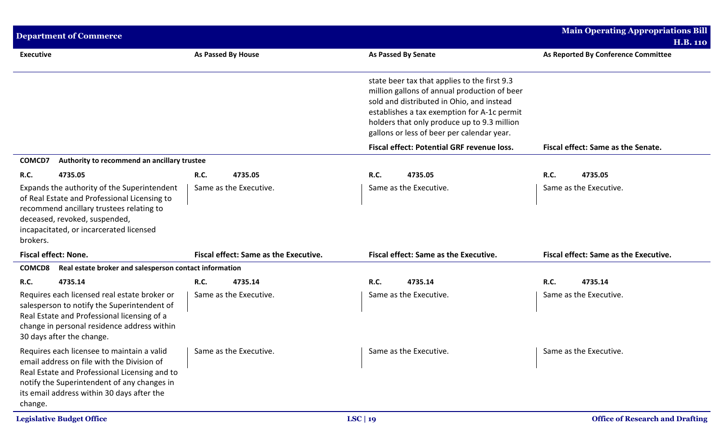| <b>Department of Commerce</b>                                                                                                                                                                                                                     |                                              |                                                                                                                                                                                                                                                                                       | <b>Main Operating Appropriations Bill</b> |
|---------------------------------------------------------------------------------------------------------------------------------------------------------------------------------------------------------------------------------------------------|----------------------------------------------|---------------------------------------------------------------------------------------------------------------------------------------------------------------------------------------------------------------------------------------------------------------------------------------|-------------------------------------------|
|                                                                                                                                                                                                                                                   |                                              |                                                                                                                                                                                                                                                                                       | <b>H.B. 110</b>                           |
| <b>Executive</b>                                                                                                                                                                                                                                  | <b>As Passed By House</b>                    | <b>As Passed By Senate</b>                                                                                                                                                                                                                                                            | As Reported By Conference Committee       |
|                                                                                                                                                                                                                                                   |                                              | state beer tax that applies to the first 9.3<br>million gallons of annual production of beer<br>sold and distributed in Ohio, and instead<br>establishes a tax exemption for A-1c permit<br>holders that only produce up to 9.3 million<br>gallons or less of beer per calendar year. |                                           |
|                                                                                                                                                                                                                                                   |                                              | <b>Fiscal effect: Potential GRF revenue loss.</b>                                                                                                                                                                                                                                     | Fiscal effect: Same as the Senate.        |
| Authority to recommend an ancillary trustee<br>COMCD7                                                                                                                                                                                             |                                              |                                                                                                                                                                                                                                                                                       |                                           |
| R.C.<br>4735.05                                                                                                                                                                                                                                   | <b>R.C.</b><br>4735.05                       | R.C.<br>4735.05                                                                                                                                                                                                                                                                       | R.C.<br>4735.05                           |
| Expands the authority of the Superintendent<br>of Real Estate and Professional Licensing to<br>recommend ancillary trustees relating to<br>deceased, revoked, suspended,<br>incapacitated, or incarcerated licensed<br>brokers.                   | Same as the Executive.                       | Same as the Executive.                                                                                                                                                                                                                                                                | Same as the Executive.                    |
| Fiscal effect: None.                                                                                                                                                                                                                              | <b>Fiscal effect: Same as the Executive.</b> | Fiscal effect: Same as the Executive.                                                                                                                                                                                                                                                 | Fiscal effect: Same as the Executive.     |
| <b>COMCD8</b><br>Real estate broker and salesperson contact information                                                                                                                                                                           |                                              |                                                                                                                                                                                                                                                                                       |                                           |
| R.C.<br>4735.14                                                                                                                                                                                                                                   | <b>R.C.</b><br>4735.14                       | R.C.<br>4735.14                                                                                                                                                                                                                                                                       | R.C.<br>4735.14                           |
| Requires each licensed real estate broker or<br>salesperson to notify the Superintendent of<br>Real Estate and Professional licensing of a<br>change in personal residence address within<br>30 days after the change.                            | Same as the Executive.                       | Same as the Executive.                                                                                                                                                                                                                                                                | Same as the Executive.                    |
| Requires each licensee to maintain a valid<br>email address on file with the Division of<br>Real Estate and Professional Licensing and to<br>notify the Superintendent of any changes in<br>its email address within 30 days after the<br>change. | Same as the Executive.                       | Same as the Executive.                                                                                                                                                                                                                                                                | Same as the Executive.                    |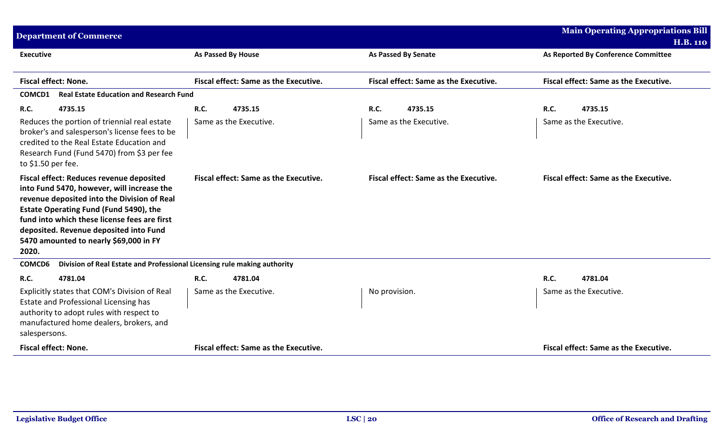| <b>Department of Commerce</b>                                                                                                                                                                                                                                                                                                |                                              |                                              | <b>Main Operating Appropriations Bill</b><br><b>H.B. 110</b> |
|------------------------------------------------------------------------------------------------------------------------------------------------------------------------------------------------------------------------------------------------------------------------------------------------------------------------------|----------------------------------------------|----------------------------------------------|--------------------------------------------------------------|
| <b>Executive</b>                                                                                                                                                                                                                                                                                                             | As Passed By House                           | <b>As Passed By Senate</b>                   | As Reported By Conference Committee                          |
| <b>Fiscal effect: None.</b>                                                                                                                                                                                                                                                                                                  | Fiscal effect: Same as the Executive.        | Fiscal effect: Same as the Executive.        | Fiscal effect: Same as the Executive.                        |
| <b>Real Estate Education and Research Fund</b><br>COMCD1                                                                                                                                                                                                                                                                     |                                              |                                              |                                                              |
| <b>R.C.</b><br>4735.15                                                                                                                                                                                                                                                                                                       | <b>R.C.</b><br>4735.15                       | R.C.<br>4735.15                              | R.C.<br>4735.15                                              |
| Reduces the portion of triennial real estate<br>broker's and salesperson's license fees to be<br>credited to the Real Estate Education and<br>Research Fund (Fund 5470) from \$3 per fee<br>to \$1.50 per fee.                                                                                                               | Same as the Executive.                       | Same as the Executive.                       | Same as the Executive.                                       |
| Fiscal effect: Reduces revenue deposited<br>into Fund 5470, however, will increase the<br>revenue deposited into the Division of Real<br>Estate Operating Fund (Fund 5490), the<br>fund into which these license fees are first<br>deposited. Revenue deposited into Fund<br>5470 amounted to nearly \$69,000 in FY<br>2020. | <b>Fiscal effect: Same as the Executive.</b> | <b>Fiscal effect: Same as the Executive.</b> | <b>Fiscal effect: Same as the Executive.</b>                 |
| COMCD6<br>Division of Real Estate and Professional Licensing rule making authority                                                                                                                                                                                                                                           |                                              |                                              |                                                              |
| R.C.<br>4781.04                                                                                                                                                                                                                                                                                                              | <b>R.C.</b><br>4781.04                       |                                              | R.C.<br>4781.04                                              |
| Explicitly states that COM's Division of Real<br>Estate and Professional Licensing has<br>authority to adopt rules with respect to<br>manufactured home dealers, brokers, and<br>salespersons.                                                                                                                               | Same as the Executive.                       | No provision.                                | Same as the Executive.                                       |
| <b>Fiscal effect: None.</b>                                                                                                                                                                                                                                                                                                  | <b>Fiscal effect: Same as the Executive.</b> |                                              | Fiscal effect: Same as the Executive.                        |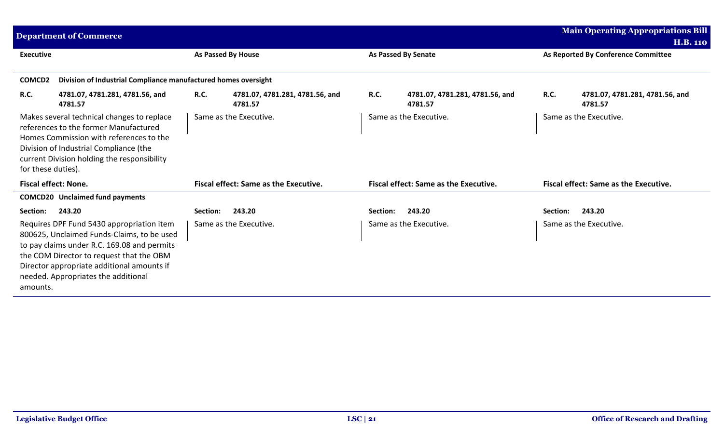|                    | <b>Department of Commerce</b>                                                                                                                                                                                                                                           |             |                                              |             |                                              |             | <b>Main Operating Appropriations Bill</b>    |
|--------------------|-------------------------------------------------------------------------------------------------------------------------------------------------------------------------------------------------------------------------------------------------------------------------|-------------|----------------------------------------------|-------------|----------------------------------------------|-------------|----------------------------------------------|
|                    |                                                                                                                                                                                                                                                                         |             |                                              |             |                                              |             | <b>H.B. 110</b>                              |
| <b>Executive</b>   |                                                                                                                                                                                                                                                                         |             | <b>As Passed By House</b>                    |             | <b>As Passed By Senate</b>                   |             | As Reported By Conference Committee          |
|                    |                                                                                                                                                                                                                                                                         |             |                                              |             |                                              |             |                                              |
| COMCD2             | Division of Industrial Compliance manufactured homes oversight                                                                                                                                                                                                          |             |                                              |             |                                              |             |                                              |
| R.C.               | 4781.07, 4781.281, 4781.56, and<br>4781.57                                                                                                                                                                                                                              | <b>R.C.</b> | 4781.07, 4781.281, 4781.56, and<br>4781.57   | <b>R.C.</b> | 4781.07, 4781.281, 4781.56, and<br>4781.57   | <b>R.C.</b> | 4781.07, 4781.281, 4781.56, and<br>4781.57   |
| for these duties). | Makes several technical changes to replace<br>references to the former Manufactured<br>Homes Commission with references to the<br>Division of Industrial Compliance (the<br>current Division holding the responsibility                                                 |             | Same as the Executive.                       |             | Same as the Executive.                       |             | Same as the Executive.                       |
|                    | <b>Fiscal effect: None.</b>                                                                                                                                                                                                                                             |             | <b>Fiscal effect: Same as the Executive.</b> |             | <b>Fiscal effect: Same as the Executive.</b> |             | <b>Fiscal effect: Same as the Executive.</b> |
|                    | <b>COMCD20</b> Unclaimed fund payments                                                                                                                                                                                                                                  |             |                                              |             |                                              |             |                                              |
| Section:           | 243.20                                                                                                                                                                                                                                                                  | Section:    | 243.20                                       | Section:    | 243.20                                       | Section:    | 243.20                                       |
| amounts.           | Requires DPF Fund 5430 appropriation item<br>800625, Unclaimed Funds-Claims, to be used<br>to pay claims under R.C. 169.08 and permits<br>the COM Director to request that the OBM<br>Director appropriate additional amounts if<br>needed. Appropriates the additional |             | Same as the Executive.                       |             | Same as the Executive.                       |             | Same as the Executive.                       |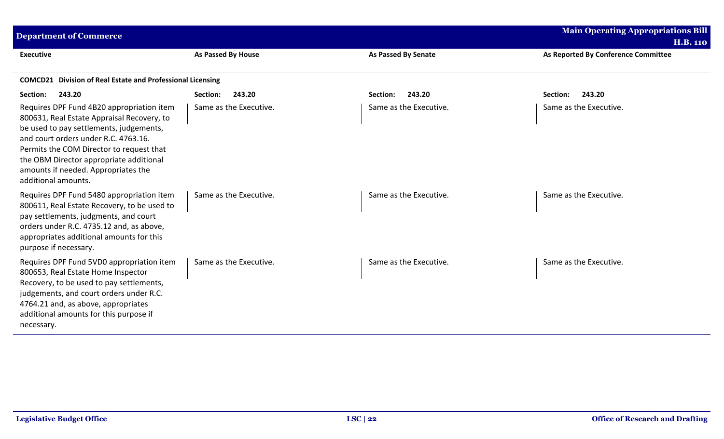| <b>Department of Commerce</b>                                                                                                                                                                                                                                                                                                   |                        |                            | <b>Main Operating Appropriations Bill</b><br><b>H.B. 110</b> |  |  |
|---------------------------------------------------------------------------------------------------------------------------------------------------------------------------------------------------------------------------------------------------------------------------------------------------------------------------------|------------------------|----------------------------|--------------------------------------------------------------|--|--|
| <b>Executive</b>                                                                                                                                                                                                                                                                                                                | As Passed By House     | <b>As Passed By Senate</b> | As Reported By Conference Committee                          |  |  |
| <b>COMCD21</b> Division of Real Estate and Professional Licensing                                                                                                                                                                                                                                                               |                        |                            |                                                              |  |  |
| 243.20<br>Section:                                                                                                                                                                                                                                                                                                              | Section:<br>243.20     | 243.20<br>Section:         | 243.20<br>Section:                                           |  |  |
| Requires DPF Fund 4B20 appropriation item<br>800631, Real Estate Appraisal Recovery, to<br>be used to pay settlements, judgements,<br>and court orders under R.C. 4763.16.<br>Permits the COM Director to request that<br>the OBM Director appropriate additional<br>amounts if needed. Appropriates the<br>additional amounts. | Same as the Executive. | Same as the Executive.     | Same as the Executive.                                       |  |  |
| Requires DPF Fund 5480 appropriation item<br>800611, Real Estate Recovery, to be used to<br>pay settlements, judgments, and court<br>orders under R.C. 4735.12 and, as above,<br>appropriates additional amounts for this<br>purpose if necessary.                                                                              | Same as the Executive. | Same as the Executive.     | Same as the Executive.                                       |  |  |
| Requires DPF Fund 5VD0 appropriation item<br>800653, Real Estate Home Inspector<br>Recovery, to be used to pay settlements,<br>judgements, and court orders under R.C.<br>4764.21 and, as above, appropriates<br>additional amounts for this purpose if<br>necessary.                                                           | Same as the Executive. | Same as the Executive.     | Same as the Executive.                                       |  |  |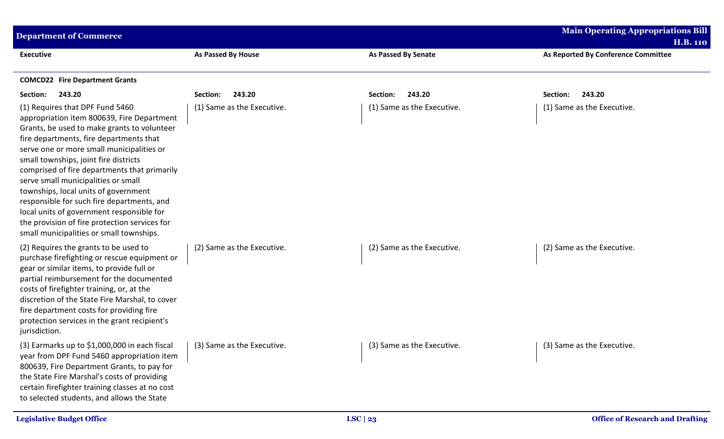| <b>Department of Commerce</b>                                                                                                                                                                                                                                                                                                                                                                                                                                                                                                                                                        |                            |                            | <b>Main Operating Appropriations Bill</b>              |
|--------------------------------------------------------------------------------------------------------------------------------------------------------------------------------------------------------------------------------------------------------------------------------------------------------------------------------------------------------------------------------------------------------------------------------------------------------------------------------------------------------------------------------------------------------------------------------------|----------------------------|----------------------------|--------------------------------------------------------|
| <b>Executive</b>                                                                                                                                                                                                                                                                                                                                                                                                                                                                                                                                                                     | <b>As Passed By House</b>  | <b>As Passed By Senate</b> | <b>H.B. 110</b><br>As Reported By Conference Committee |
| <b>COMCD22</b> Fire Department Grants                                                                                                                                                                                                                                                                                                                                                                                                                                                                                                                                                |                            |                            |                                                        |
| 243.20<br>Section:                                                                                                                                                                                                                                                                                                                                                                                                                                                                                                                                                                   | 243.20<br>Section:         | 243.20<br>Section:         | 243.20<br>Section:                                     |
| (1) Requires that DPF Fund 5460<br>appropriation item 800639, Fire Department<br>Grants, be used to make grants to volunteer<br>fire departments, fire departments that<br>serve one or more small municipalities or<br>small townships, joint fire districts<br>comprised of fire departments that primarily<br>serve small municipalities or small<br>townships, local units of government<br>responsible for such fire departments, and<br>local units of government responsible for<br>the provision of fire protection services for<br>small municipalities or small townships. | (1) Same as the Executive. | (1) Same as the Executive. | (1) Same as the Executive.                             |
| (2) Requires the grants to be used to<br>purchase firefighting or rescue equipment or<br>gear or similar items, to provide full or<br>partial reimbursement for the documented<br>costs of firefighter training, or, at the<br>discretion of the State Fire Marshal, to cover<br>fire department costs for providing fire<br>protection services in the grant recipient's<br>jurisdiction.                                                                                                                                                                                           | (2) Same as the Executive. | (2) Same as the Executive. | (2) Same as the Executive.                             |
| (3) Earmarks up to \$1,000,000 in each fiscal $\vert$ (3) Same as the Executive.<br>year from DPF Fund 5460 appropriation item<br>800639, Fire Department Grants, to pay for<br>the State Fire Marshal's costs of providing<br>certain firefighter training classes at no cost<br>to selected students, and allows the State                                                                                                                                                                                                                                                         |                            | (3) Same as the Executive. | (3) Same as the Executive.                             |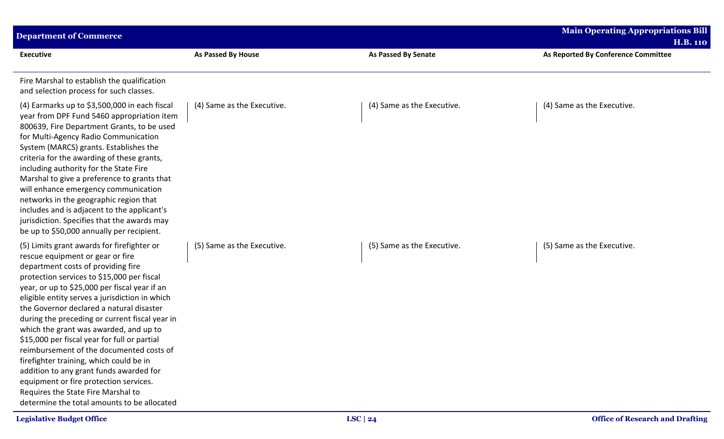| <b>Department of Commerce</b>                                                                                                                                                                                                                                                                                                                                                                                                                                                                                                                                                                                                                                                                                                  |                            |                            | <b>Main Operating Appropriations Bill</b> |
|--------------------------------------------------------------------------------------------------------------------------------------------------------------------------------------------------------------------------------------------------------------------------------------------------------------------------------------------------------------------------------------------------------------------------------------------------------------------------------------------------------------------------------------------------------------------------------------------------------------------------------------------------------------------------------------------------------------------------------|----------------------------|----------------------------|-------------------------------------------|
|                                                                                                                                                                                                                                                                                                                                                                                                                                                                                                                                                                                                                                                                                                                                |                            |                            | <b>H.B. 110</b>                           |
| <b>Executive</b>                                                                                                                                                                                                                                                                                                                                                                                                                                                                                                                                                                                                                                                                                                               | As Passed By House         | <b>As Passed By Senate</b> | As Reported By Conference Committee       |
| Fire Marshal to establish the qualification<br>and selection process for such classes.                                                                                                                                                                                                                                                                                                                                                                                                                                                                                                                                                                                                                                         |                            |                            |                                           |
| (4) Earmarks up to \$3,500,000 in each fiscal<br>year from DPF Fund 5460 appropriation item<br>800639, Fire Department Grants, to be used<br>for Multi-Agency Radio Communication<br>System (MARCS) grants. Establishes the<br>criteria for the awarding of these grants,<br>including authority for the State Fire<br>Marshal to give a preference to grants that<br>will enhance emergency communication<br>networks in the geographic region that<br>includes and is adjacent to the applicant's<br>jurisdiction. Specifies that the awards may<br>be up to \$50,000 annually per recipient.                                                                                                                                | (4) Same as the Executive. | (4) Same as the Executive. | (4) Same as the Executive.                |
| (5) Limits grant awards for firefighter or<br>rescue equipment or gear or fire<br>department costs of providing fire<br>protection services to \$15,000 per fiscal<br>year, or up to \$25,000 per fiscal year if an<br>eligible entity serves a jurisdiction in which<br>the Governor declared a natural disaster<br>during the preceding or current fiscal year in<br>which the grant was awarded, and up to<br>\$15,000 per fiscal year for full or partial<br>reimbursement of the documented costs of<br>firefighter training, which could be in<br>addition to any grant funds awarded for<br>equipment or fire protection services.<br>Requires the State Fire Marshal to<br>determine the total amounts to be allocated | (5) Same as the Executive. | (5) Same as the Executive. | (5) Same as the Executive.                |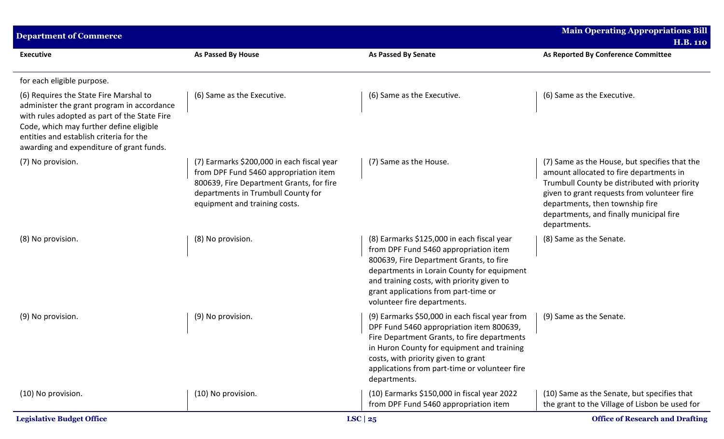| <b>Department of Commerce</b>                                                                                                                                                                                                                                          | <b>Main Operating Appropriations Bill</b><br><b>H.B. 110</b>                                                                                                                                           |                                                                                                                                                                                                                                                                                                   |                                                                                                                                                                                                                                                                                       |
|------------------------------------------------------------------------------------------------------------------------------------------------------------------------------------------------------------------------------------------------------------------------|--------------------------------------------------------------------------------------------------------------------------------------------------------------------------------------------------------|---------------------------------------------------------------------------------------------------------------------------------------------------------------------------------------------------------------------------------------------------------------------------------------------------|---------------------------------------------------------------------------------------------------------------------------------------------------------------------------------------------------------------------------------------------------------------------------------------|
| <b>Executive</b>                                                                                                                                                                                                                                                       | <b>As Passed By House</b>                                                                                                                                                                              | <b>As Passed By Senate</b>                                                                                                                                                                                                                                                                        | As Reported By Conference Committee                                                                                                                                                                                                                                                   |
| for each eligible purpose.                                                                                                                                                                                                                                             |                                                                                                                                                                                                        |                                                                                                                                                                                                                                                                                                   |                                                                                                                                                                                                                                                                                       |
| (6) Requires the State Fire Marshal to<br>administer the grant program in accordance<br>with rules adopted as part of the State Fire<br>Code, which may further define eligible<br>entities and establish criteria for the<br>awarding and expenditure of grant funds. | (6) Same as the Executive.                                                                                                                                                                             | (6) Same as the Executive.                                                                                                                                                                                                                                                                        | (6) Same as the Executive.                                                                                                                                                                                                                                                            |
| (7) No provision.                                                                                                                                                                                                                                                      | (7) Earmarks \$200,000 in each fiscal year<br>from DPF Fund 5460 appropriation item<br>800639, Fire Department Grants, for fire<br>departments in Trumbull County for<br>equipment and training costs. | (7) Same as the House.                                                                                                                                                                                                                                                                            | (7) Same as the House, but specifies that the<br>amount allocated to fire departments in<br>Trumbull County be distributed with priority<br>given to grant requests from volunteer fire<br>departments, then township fire<br>departments, and finally municipal fire<br>departments. |
| (8) No provision.                                                                                                                                                                                                                                                      | (8) No provision.                                                                                                                                                                                      | (8) Earmarks \$125,000 in each fiscal year<br>from DPF Fund 5460 appropriation item<br>800639, Fire Department Grants, to fire<br>departments in Lorain County for equipment<br>and training costs, with priority given to<br>grant applications from part-time or<br>volunteer fire departments. | (8) Same as the Senate.                                                                                                                                                                                                                                                               |
| (9) No provision.                                                                                                                                                                                                                                                      | (9) No provision.                                                                                                                                                                                      | (9) Earmarks \$50,000 in each fiscal year from<br>DPF Fund 5460 appropriation item 800639,<br>Fire Department Grants, to fire departments<br>in Huron County for equipment and training<br>costs, with priority given to grant<br>applications from part-time or volunteer fire<br>departments.   | (9) Same as the Senate.                                                                                                                                                                                                                                                               |
| (10) No provision.                                                                                                                                                                                                                                                     | (10) No provision.                                                                                                                                                                                     | (10) Earmarks \$150,000 in fiscal year 2022<br>from DPF Fund 5460 appropriation item                                                                                                                                                                                                              | (10) Same as the Senate, but specifies that<br>the grant to the Village of Lisbon be used for                                                                                                                                                                                         |
| <b>Legislative Budget Office</b>                                                                                                                                                                                                                                       |                                                                                                                                                                                                        | LSC $ 25$                                                                                                                                                                                                                                                                                         | <b>Office of Research and Drafting</b>                                                                                                                                                                                                                                                |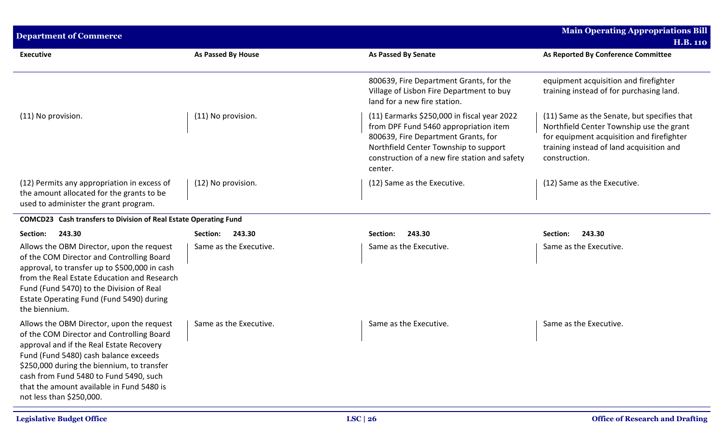| <b>Department of Commerce</b>                                                                                                                                                                                                                                                                                                                |                           | <b>Main Operating Appropriations Bill</b><br><b>H.B. 110</b>                                                                                                                                                                     |                                                                                                                                                                                                   |
|----------------------------------------------------------------------------------------------------------------------------------------------------------------------------------------------------------------------------------------------------------------------------------------------------------------------------------------------|---------------------------|----------------------------------------------------------------------------------------------------------------------------------------------------------------------------------------------------------------------------------|---------------------------------------------------------------------------------------------------------------------------------------------------------------------------------------------------|
| <b>Executive</b>                                                                                                                                                                                                                                                                                                                             | <b>As Passed By House</b> | <b>As Passed By Senate</b>                                                                                                                                                                                                       | As Reported By Conference Committee                                                                                                                                                               |
|                                                                                                                                                                                                                                                                                                                                              |                           | 800639, Fire Department Grants, for the<br>Village of Lisbon Fire Department to buy<br>land for a new fire station.                                                                                                              | equipment acquisition and firefighter<br>training instead of for purchasing land.                                                                                                                 |
| (11) No provision.                                                                                                                                                                                                                                                                                                                           | (11) No provision.        | (11) Earmarks \$250,000 in fiscal year 2022<br>from DPF Fund 5460 appropriation item<br>800639, Fire Department Grants, for<br>Northfield Center Township to support<br>construction of a new fire station and safety<br>center. | (11) Same as the Senate, but specifies that<br>Northfield Center Township use the grant<br>for equipment acquisition and firefighter<br>training instead of land acquisition and<br>construction. |
| (12) Permits any appropriation in excess of<br>the amount allocated for the grants to be<br>used to administer the grant program.                                                                                                                                                                                                            | (12) No provision.        | (12) Same as the Executive.                                                                                                                                                                                                      | (12) Same as the Executive.                                                                                                                                                                       |
| COMCD23 Cash transfers to Division of Real Estate Operating Fund                                                                                                                                                                                                                                                                             |                           |                                                                                                                                                                                                                                  |                                                                                                                                                                                                   |
| Section:<br>243.30                                                                                                                                                                                                                                                                                                                           | 243.30<br>Section:        | 243.30<br>Section:                                                                                                                                                                                                               | Section:<br>243.30                                                                                                                                                                                |
| Allows the OBM Director, upon the request<br>of the COM Director and Controlling Board<br>approval, to transfer up to \$500,000 in cash<br>from the Real Estate Education and Research<br>Fund (Fund 5470) to the Division of Real<br>Estate Operating Fund (Fund 5490) during<br>the biennium.                                              | Same as the Executive.    | Same as the Executive.                                                                                                                                                                                                           | Same as the Executive.                                                                                                                                                                            |
| Allows the OBM Director, upon the request<br>of the COM Director and Controlling Board<br>approval and if the Real Estate Recovery<br>Fund (Fund 5480) cash balance exceeds<br>\$250,000 during the biennium, to transfer<br>cash from Fund 5480 to Fund 5490, such<br>that the amount available in Fund 5480 is<br>not less than \$250,000. | Same as the Executive.    | Same as the Executive.                                                                                                                                                                                                           | Same as the Executive.                                                                                                                                                                            |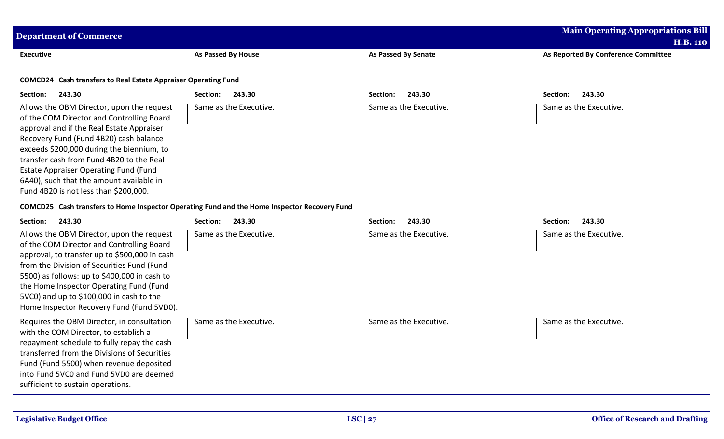| <b>Main Operating Appropriations Bill</b><br><b>Department of Commerce</b><br><b>H.B. 110</b>                                                                                                                                                                                                                                                                                                               |                        |                            |                                     |  |  |
|-------------------------------------------------------------------------------------------------------------------------------------------------------------------------------------------------------------------------------------------------------------------------------------------------------------------------------------------------------------------------------------------------------------|------------------------|----------------------------|-------------------------------------|--|--|
| <b>Executive</b>                                                                                                                                                                                                                                                                                                                                                                                            | As Passed By House     | <b>As Passed By Senate</b> | As Reported By Conference Committee |  |  |
| COMCD24 Cash transfers to Real Estate Appraiser Operating Fund                                                                                                                                                                                                                                                                                                                                              |                        |                            |                                     |  |  |
| 243.30<br>Section:                                                                                                                                                                                                                                                                                                                                                                                          | 243.30<br>Section:     | 243.30<br>Section:         | 243.30<br>Section:                  |  |  |
| Allows the OBM Director, upon the request<br>of the COM Director and Controlling Board<br>approval and if the Real Estate Appraiser<br>Recovery Fund (Fund 4B20) cash balance<br>exceeds \$200,000 during the biennium, to<br>transfer cash from Fund 4B20 to the Real<br><b>Estate Appraiser Operating Fund (Fund</b><br>6A40), such that the amount available in<br>Fund 4B20 is not less than \$200,000. | Same as the Executive. | Same as the Executive.     | Same as the Executive.              |  |  |
| COMCD25 Cash transfers to Home Inspector Operating Fund and the Home Inspector Recovery Fund                                                                                                                                                                                                                                                                                                                |                        |                            |                                     |  |  |
| 243.30<br>Section:                                                                                                                                                                                                                                                                                                                                                                                          | 243.30<br>Section:     | 243.30<br>Section:         | 243.30<br>Section:                  |  |  |
| Allows the OBM Director, upon the request<br>of the COM Director and Controlling Board<br>approval, to transfer up to \$500,000 in cash<br>from the Division of Securities Fund (Fund<br>5500) as follows: up to \$400,000 in cash to<br>the Home Inspector Operating Fund (Fund<br>5VC0) and up to \$100,000 in cash to the<br>Home Inspector Recovery Fund (Fund 5VD0).                                   | Same as the Executive. | Same as the Executive.     | Same as the Executive.              |  |  |
| Requires the OBM Director, in consultation                                                                                                                                                                                                                                                                                                                                                                  | Same as the Executive. | Same as the Executive.     | Same as the Executive.              |  |  |

sufficient to sustain operations.

with the COM Director, to establish a

repayment schedule to fully repay the cash transferred from the Divisions of Securities Fund (Fund 5500) when revenue deposited into Fund 5VC0 and Fund 5VD0 are deemed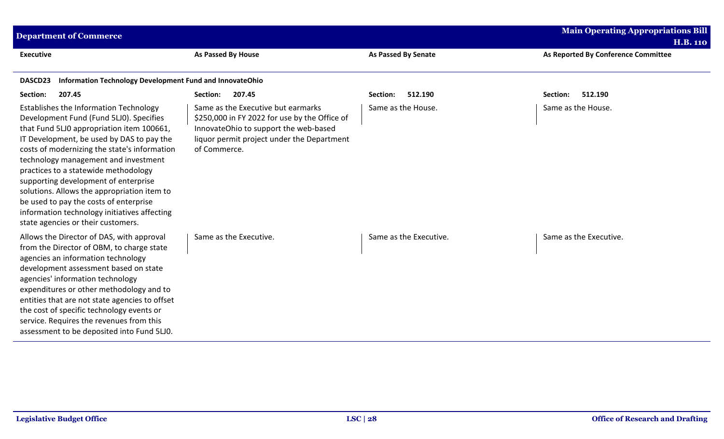| <b>Department of Commerce</b>                                                                                                                                                                                                                                                                                                                                                                                                                                                                                                      |                                                                                                                                                                                            |                            | <b>Main Operating Appropriations Bill</b><br><b>H.B. 110</b> |
|------------------------------------------------------------------------------------------------------------------------------------------------------------------------------------------------------------------------------------------------------------------------------------------------------------------------------------------------------------------------------------------------------------------------------------------------------------------------------------------------------------------------------------|--------------------------------------------------------------------------------------------------------------------------------------------------------------------------------------------|----------------------------|--------------------------------------------------------------|
| <b>Executive</b>                                                                                                                                                                                                                                                                                                                                                                                                                                                                                                                   | As Passed By House                                                                                                                                                                         | <b>As Passed By Senate</b> | As Reported By Conference Committee                          |
| Information Technology Development Fund and InnovateOhio<br>DASCD23                                                                                                                                                                                                                                                                                                                                                                                                                                                                |                                                                                                                                                                                            |                            |                                                              |
| Section:<br>207.45                                                                                                                                                                                                                                                                                                                                                                                                                                                                                                                 | 207.45<br>Section:                                                                                                                                                                         | 512.190<br>Section:        | 512.190<br>Section:                                          |
| Establishes the Information Technology<br>Development Fund (Fund 5LJ0). Specifies<br>that Fund 5LJ0 appropriation item 100661,<br>IT Development, be used by DAS to pay the<br>costs of modernizing the state's information<br>technology management and investment<br>practices to a statewide methodology<br>supporting development of enterprise<br>solutions. Allows the appropriation item to<br>be used to pay the costs of enterprise<br>information technology initiatives affecting<br>state agencies or their customers. | Same as the Executive but earmarks<br>\$250,000 in FY 2022 for use by the Office of<br>InnovateOhio to support the web-based<br>liquor permit project under the Department<br>of Commerce. | Same as the House.         | Same as the House.                                           |
| Allows the Director of DAS, with approval<br>from the Director of OBM, to charge state<br>agencies an information technology<br>development assessment based on state<br>agencies' information technology<br>expenditures or other methodology and to<br>entities that are not state agencies to offset<br>the cost of specific technology events or<br>service. Requires the revenues from this<br>assessment to be deposited into Fund 5LJ0.                                                                                     | Same as the Executive.                                                                                                                                                                     | Same as the Executive.     | Same as the Executive.                                       |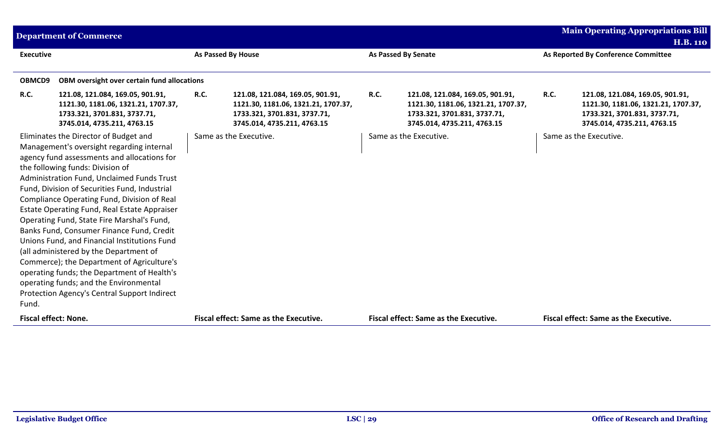|                             | <b>Department of Commerce</b>                                                                                                                                                                                                                                                                                                                                                                                                                                                                                                                                                                                                                                                                                                                   |                    |                                                                                                                                        |             |                                                                                                                                        |             | <b>Main Operating Appropriations Bill</b>                                                                                              |  |
|-----------------------------|-------------------------------------------------------------------------------------------------------------------------------------------------------------------------------------------------------------------------------------------------------------------------------------------------------------------------------------------------------------------------------------------------------------------------------------------------------------------------------------------------------------------------------------------------------------------------------------------------------------------------------------------------------------------------------------------------------------------------------------------------|--------------------|----------------------------------------------------------------------------------------------------------------------------------------|-------------|----------------------------------------------------------------------------------------------------------------------------------------|-------------|----------------------------------------------------------------------------------------------------------------------------------------|--|
|                             |                                                                                                                                                                                                                                                                                                                                                                                                                                                                                                                                                                                                                                                                                                                                                 |                    |                                                                                                                                        |             |                                                                                                                                        |             | <b>H.B. 110</b>                                                                                                                        |  |
| <b>Executive</b>            |                                                                                                                                                                                                                                                                                                                                                                                                                                                                                                                                                                                                                                                                                                                                                 | As Passed By House |                                                                                                                                        |             | <b>As Passed By Senate</b>                                                                                                             |             | As Reported By Conference Committee                                                                                                    |  |
|                             |                                                                                                                                                                                                                                                                                                                                                                                                                                                                                                                                                                                                                                                                                                                                                 |                    |                                                                                                                                        |             |                                                                                                                                        |             |                                                                                                                                        |  |
| OBMCD9                      | OBM oversight over certain fund allocations                                                                                                                                                                                                                                                                                                                                                                                                                                                                                                                                                                                                                                                                                                     |                    |                                                                                                                                        |             |                                                                                                                                        |             |                                                                                                                                        |  |
| <b>R.C.</b>                 | 121.08, 121.084, 169.05, 901.91,<br>1121.30, 1181.06, 1321.21, 1707.37,<br>1733.321, 3701.831, 3737.71,<br>3745.014, 4735.211, 4763.15                                                                                                                                                                                                                                                                                                                                                                                                                                                                                                                                                                                                          | <b>R.C.</b>        | 121.08, 121.084, 169.05, 901.91,<br>1121.30, 1181.06, 1321.21, 1707.37,<br>1733.321, 3701.831, 3737.71,<br>3745.014, 4735.211, 4763.15 | <b>R.C.</b> | 121.08, 121.084, 169.05, 901.91,<br>1121.30, 1181.06, 1321.21, 1707.37,<br>1733.321, 3701.831, 3737.71,<br>3745.014, 4735.211, 4763.15 | <b>R.C.</b> | 121.08, 121.084, 169.05, 901.91,<br>1121.30, 1181.06, 1321.21, 1707.37,<br>1733.321, 3701.831, 3737.71,<br>3745.014, 4735.211, 4763.15 |  |
| Fund.                       | Eliminates the Director of Budget and<br>Management's oversight regarding internal<br>agency fund assessments and allocations for<br>the following funds: Division of<br>Administration Fund, Unclaimed Funds Trust<br>Fund, Division of Securities Fund, Industrial<br>Compliance Operating Fund, Division of Real<br>Estate Operating Fund, Real Estate Appraiser<br>Operating Fund, State Fire Marshal's Fund,<br>Banks Fund, Consumer Finance Fund, Credit<br>Unions Fund, and Financial Institutions Fund<br>(all administered by the Department of<br>Commerce); the Department of Agriculture's<br>operating funds; the Department of Health's<br>operating funds; and the Environmental<br>Protection Agency's Central Support Indirect |                    | Same as the Executive.                                                                                                                 |             | Same as the Executive.                                                                                                                 |             | Same as the Executive.                                                                                                                 |  |
| <b>Fiscal effect: None.</b> |                                                                                                                                                                                                                                                                                                                                                                                                                                                                                                                                                                                                                                                                                                                                                 |                    | Fiscal effect: Same as the Executive.                                                                                                  |             | <b>Fiscal effect: Same as the Executive.</b>                                                                                           |             | <b>Fiscal effect: Same as the Executive.</b>                                                                                           |  |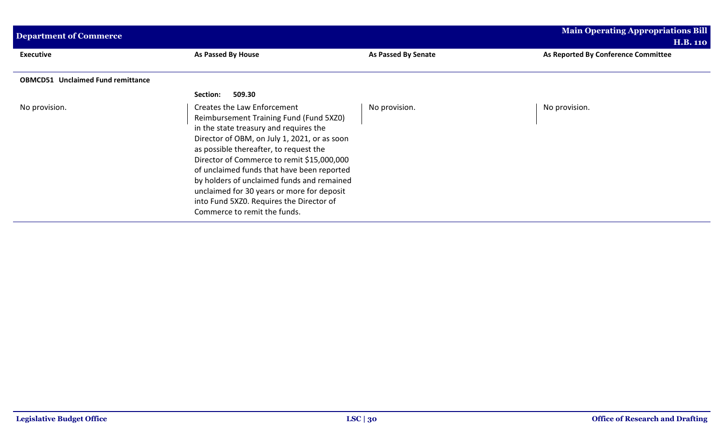| <b>Department of Commerce</b>            |                                                                                                                                                                                                                                                                                                                                                                                                                                                                                | <b>Main Operating Appropriations Bill</b><br><b>H.B. 110</b> |                                     |  |
|------------------------------------------|--------------------------------------------------------------------------------------------------------------------------------------------------------------------------------------------------------------------------------------------------------------------------------------------------------------------------------------------------------------------------------------------------------------------------------------------------------------------------------|--------------------------------------------------------------|-------------------------------------|--|
| <b>Executive</b>                         | As Passed By House                                                                                                                                                                                                                                                                                                                                                                                                                                                             | As Passed By Senate                                          | As Reported By Conference Committee |  |
| <b>OBMCD51 Unclaimed Fund remittance</b> |                                                                                                                                                                                                                                                                                                                                                                                                                                                                                |                                                              |                                     |  |
|                                          | 509.30<br><b>Section:</b>                                                                                                                                                                                                                                                                                                                                                                                                                                                      |                                                              |                                     |  |
| No provision.                            | Creates the Law Enforcement<br>Reimbursement Training Fund (Fund 5XZ0)<br>in the state treasury and requires the<br>Director of OBM, on July 1, 2021, or as soon<br>as possible thereafter, to request the<br>Director of Commerce to remit \$15,000,000<br>of unclaimed funds that have been reported<br>by holders of unclaimed funds and remained<br>unclaimed for 30 years or more for deposit<br>into Fund 5XZ0. Requires the Director of<br>Commerce to remit the funds. | No provision.                                                | No provision.                       |  |